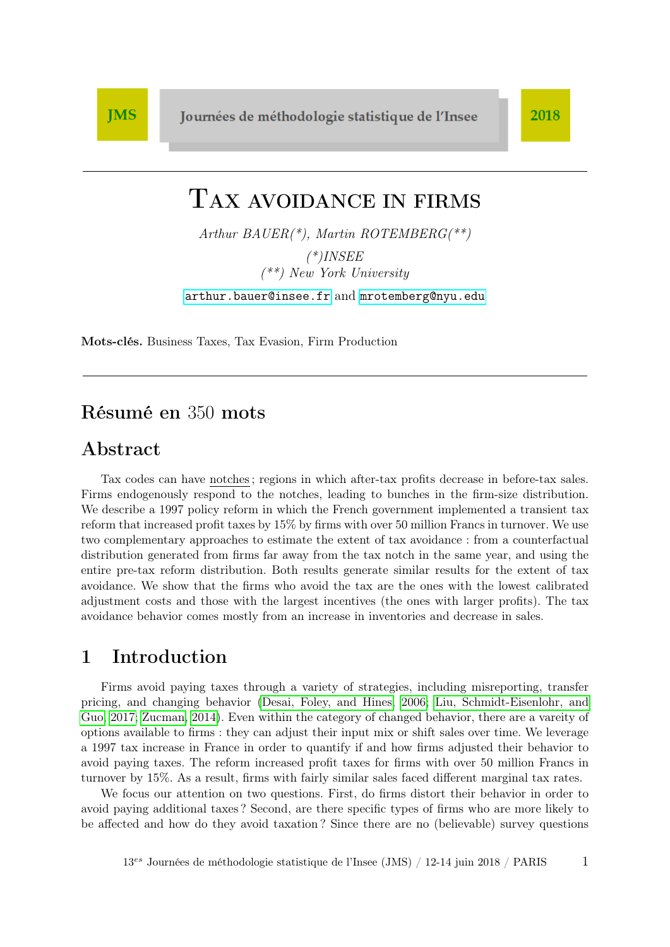# <span id="page-0-0"></span>TAX AVOIDANCE IN FIRMS

Arthur  $BAUER(*), Martin$  ROTEMBERG(\*\*)  $(*)$ INSEE (\*\*) New York University

<arthur.bauer@insee.fr> and <mrotemberg@nyu.edu>

Mots-clés. Business Taxes, Tax Evasion, Firm Production

### Résumé en 350 mots

### Abstract

Tax codes can have notches ; regions in which after-tax profits decrease in before-tax sales. Firms endogenously respond to the notches, leading to bunches in the firm-size distribution. We describe a 1997 policy reform in which the French government implemented a transient tax reform that increased profit taxes by 15% by firms with over 50 million Francs in turnover. We use two complementary approaches to estimate the extent of tax avoidance : from a counterfactual distribution generated from firms far away from the tax notch in the same year, and using the entire pre-tax reform distribution. Both results generate similar results for the extent of tax avoidance. We show that the firms who avoid the tax are the ones with the lowest calibrated adjustment costs and those with the largest incentives (the ones with larger profits). The tax avoidance behavior comes mostly from an increase in inventories and decrease in sales.

### 1 Introduction

Firms avoid paying taxes through a variety of strategies, including misreporting, transfer pricing, and changing behavior [\(Desai, Foley, and Hines, 2006;](#page-13-0) [Liu, Schmidt-Eisenlohr, and](#page-13-1) [Guo, 2017;](#page-13-1) [Zucman, 2014\)](#page-14-0). Even within the category of changed behavior, there are a vareity of options available to firms : they can adjust their input mix or shift sales over time. We leverage a 1997 tax increase in France in order to quantify if and how firms adjusted their behavior to avoid paying taxes. The reform increased profit taxes for firms with over 50 million Francs in turnover by 15%. As a result, firms with fairly similar sales faced different marginal tax rates.

We focus our attention on two questions. First, do firms distort their behavior in order to avoid paying additional taxes ? Second, are there specific types of firms who are more likely to be affected and how do they avoid taxation ? Since there are no (believable) survey questions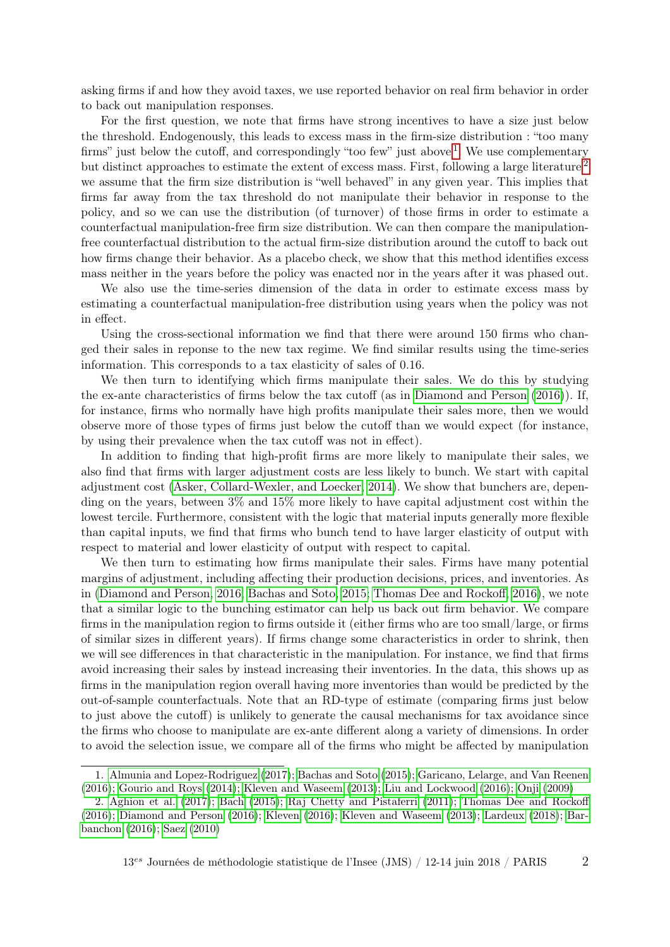asking firms if and how they avoid taxes, we use reported behavior on real firm behavior in order to back out manipulation responses.

For the first question, we note that firms have strong incentives to have a size just below the threshold. Endogenously, this leads to excess mass in the firm-size distribution : "too many firms" just below the cutoff, and correspondingly "too few" just above  $<sup>1</sup>$  $<sup>1</sup>$  $<sup>1</sup>$ . We use complementary</sup> but distinct approaches to estimate the extent of excess mass. First, following a large literature [2](#page-0-0) we assume that the firm size distribution is "well behaved" in any given year. This implies that firms far away from the tax threshold do not manipulate their behavior in response to the policy, and so we can use the distribution (of turnover) of those firms in order to estimate a counterfactual manipulation-free firm size distribution. We can then compare the manipulationfree counterfactual distribution to the actual firm-size distribution around the cutoff to back out how firms change their behavior. As a placebo check, we show that this method identifies excess mass neither in the years before the policy was enacted nor in the years after it was phased out.

We also use the time-series dimension of the data in order to estimate excess mass by estimating a counterfactual manipulation-free distribution using years when the policy was not in effect.

Using the cross-sectional information we find that there were around 150 firms who changed their sales in reponse to the new tax regime. We find similar results using the time-series information. This corresponds to a tax elasticity of sales of 0.16.

We then turn to identifying which firms manipulate their sales. We do this by studying the ex-ante characteristics of firms below the tax cutoff (as in [Diamond and Person](#page-13-2) [\(2016\)](#page-13-2)). If, for instance, firms who normally have high profits manipulate their sales more, then we would observe more of those types of firms just below the cutoff than we would expect (for instance, by using their prevalence when the tax cutoff was not in effect).

In addition to finding that high-profit firms are more likely to manipulate their sales, we also find that firms with larger adjustment costs are less likely to bunch. We start with capital adjustment cost [\(Asker, Collard-Wexler, and Loecker, 2014\)](#page-12-0). We show that bunchers are, depending on the years, between 3% and 15% more likely to have capital adjustment cost within the lowest tercile. Furthermore, consistent with the logic that material inputs generally more flexible than capital inputs, we find that firms who bunch tend to have larger elasticity of output with respect to material and lower elasticity of output with respect to capital.

We then turn to estimating how firms manipulate their sales. Firms have many potential margins of adjustment, including affecting their production decisions, prices, and inventories. As in [\(Diamond and Person, 2016;](#page-13-2) [Bachas and Soto, 2015;](#page-12-1) [Thomas Dee and Rockoff, 2016\)](#page-13-3), we note that a similar logic to the bunching estimator can help us back out firm behavior. We compare firms in the manipulation region to firms outside it (either firms who are too small/large, or firms of similar sizes in different years). If firms change some characteristics in order to shrink, then we will see differences in that characteristic in the manipulation. For instance, we find that firms avoid increasing their sales by instead increasing their inventories. In the data, this shows up as firms in the manipulation region overall having more inventories than would be predicted by the out-of-sample counterfactuals. Note that an RD-type of estimate (comparing firms just below to just above the cutoff) is unlikely to generate the causal mechanisms for tax avoidance since the firms who choose to manipulate are ex-ante different along a variety of dimensions. In order to avoid the selection issue, we compare all of the firms who might be affected by manipulation

<sup>1.</sup> [Almunia and Lopez-Rodriguez](#page-12-2) [\(2017\)](#page-12-2); [Bachas and Soto](#page-12-1) [\(2015\)](#page-12-1); [Garicano, Lelarge, and Van Reenen](#page-13-4) [\(2016\)](#page-13-4); [Gourio and Roys](#page-13-5) [\(2014\)](#page-13-5); [Kleven and Waseem](#page-13-6) [\(2013\)](#page-13-6); [Liu and Lockwood](#page-13-7) [\(2016\)](#page-13-7); [Onji](#page-13-8) [\(2009\)](#page-13-8)

<sup>2.</sup> [Aghion et al.](#page-12-3) [\(2017\)](#page-12-3); [Bach](#page-12-4) [\(2015\)](#page-12-4); [Raj Chetty and Pistaferri](#page-13-9) [\(2011\)](#page-13-9); [Thomas Dee and Rockoff](#page-13-3) [\(2016\)](#page-13-3); [Diamond and Person](#page-13-2) [\(2016\)](#page-13-2); [Kleven](#page-13-10) [\(2016\)](#page-13-10); [Kleven and Waseem](#page-13-6) [\(2013\)](#page-13-6); [Lardeux](#page-13-11) [\(2018\)](#page-13-11); [Bar](#page-12-5)[banchon](#page-12-5) [\(2016\)](#page-12-5); [Saez](#page-13-12) [\(2010\)](#page-13-12)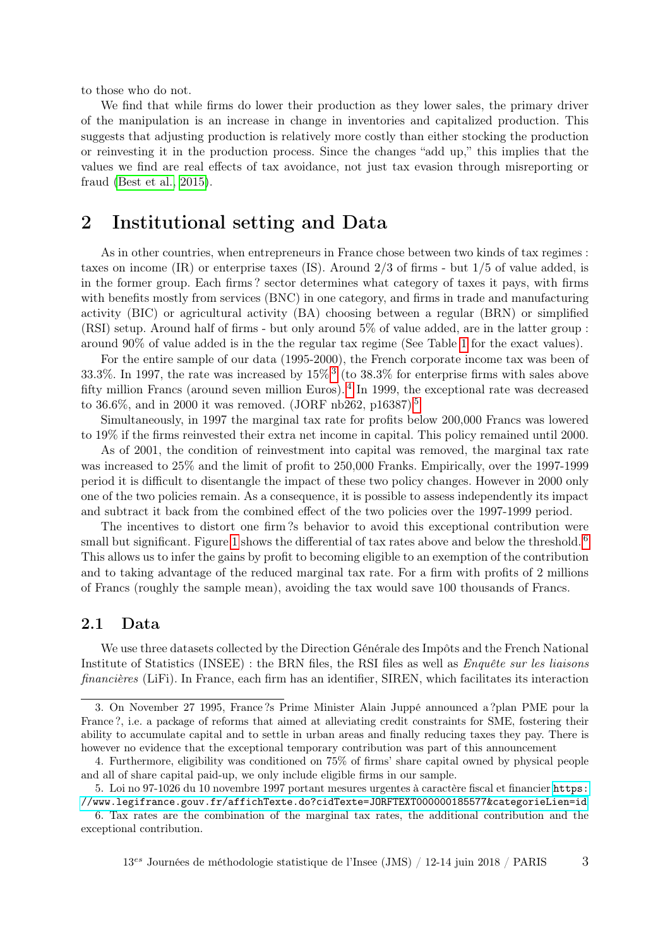to those who do not.

We find that while firms do lower their production as they lower sales, the primary driver of the manipulation is an increase in change in inventories and capitalized production. This suggests that adjusting production is relatively more costly than either stocking the production or reinvesting it in the production process. Since the changes "add up," this implies that the values we find are real effects of tax avoidance, not just tax evasion through misreporting or fraud [\(Best et al., 2015\)](#page-12-6).

### 2 Institutional setting and Data

As in other countries, when entrepreneurs in France chose between two kinds of tax regimes : taxes on income (IR) or enterprise taxes (IS). Around 2/3 of firms - but 1/5 of value added, is in the former group. Each firms ? sector determines what category of taxes it pays, with firms with benefits mostly from services (BNC) in one category, and firms in trade and manufacturing activity (BIC) or agricultural activity (BA) choosing between a regular (BRN) or simplified (RSI) setup. Around half of firms - but only around 5% of value added, are in the latter group : around 90% of value added is in the the regular tax regime (See Table [1](#page-24-0) for the exact values).

For the entire sample of our data (1995-2000), the French corporate income tax was been of [3](#page-0-0)3.3%. In 1997, the rate was increased by  $15\%$ <sup>3</sup> (to 38.3% for enterprise firms with sales above fifty million Francs (around seven million Euros).<sup>[4](#page-0-0)</sup> In 1999, the exceptional rate was decreased to 36.6%, and in 2000 it was removed. (JORF nb262, p16387) [5](#page-0-0)

Simultaneously, in 1997 the marginal tax rate for profits below 200,000 Francs was lowered to 19% if the firms reinvested their extra net income in capital. This policy remained until 2000.

As of 2001, the condition of reinvestment into capital was removed, the marginal tax rate was increased to 25% and the limit of profit to 250,000 Franks. Empirically, over the 1997-1999 period it is difficult to disentangle the impact of these two policy changes. However in 2000 only one of the two policies remain. As a consequence, it is possible to assess independently its impact and subtract it back from the combined effect of the two policies over the 1997-1999 period.

The incentives to distort one firm ?s behavior to avoid this exceptional contribution were small but significant. Figure [1](#page-16-0) shows the differential of tax rates above and below the threshold.  $\frac{6}{10}$  $\frac{6}{10}$  $\frac{6}{10}$ This allows us to infer the gains by profit to becoming eligible to an exemption of the contribution and to taking advantage of the reduced marginal tax rate. For a firm with profits of 2 millions of Francs (roughly the sample mean), avoiding the tax would save 100 thousands of Francs.

#### 2.1 Data

We use three datasets collected by the Direction Générale des Impôts and the French National Institute of Statistics (INSEE) : the BRN files, the RSI files as well as Enquête sur les liaisons financières (LiFi). In France, each firm has an identifier, SIREN, which facilitates its interaction

<sup>3.</sup> On November 27 1995, France ?s Prime Minister Alain Juppé announced a ?plan PME pour la France ?, i.e. a package of reforms that aimed at alleviating credit constraints for SME, fostering their ability to accumulate capital and to settle in urban areas and finally reducing taxes they pay. There is however no evidence that the exceptional temporary contribution was part of this announcement

<sup>4.</sup> Furthermore, eligibility was conditioned on 75% of firms' share capital owned by physical people and all of share capital paid-up, we only include eligible firms in our sample.

<sup>5.</sup> Loi no 97-1026 du 10 novembre 1997 portant mesures urgentes à caractère fiscal et financier [https:](https://www.legifrance.gouv.fr/affichTexte.do?cidTexte=JORFTEXT000000185577&categorieLien=id) [//www.legifrance.gouv.fr/affichTexte.do?cidTexte=JORFTEXT000000185577&categorieLien=id](https://www.legifrance.gouv.fr/affichTexte.do?cidTexte=JORFTEXT000000185577&categorieLien=id)

<sup>6.</sup> Tax rates are the combination of the marginal tax rates, the additional contribution and the exceptional contribution.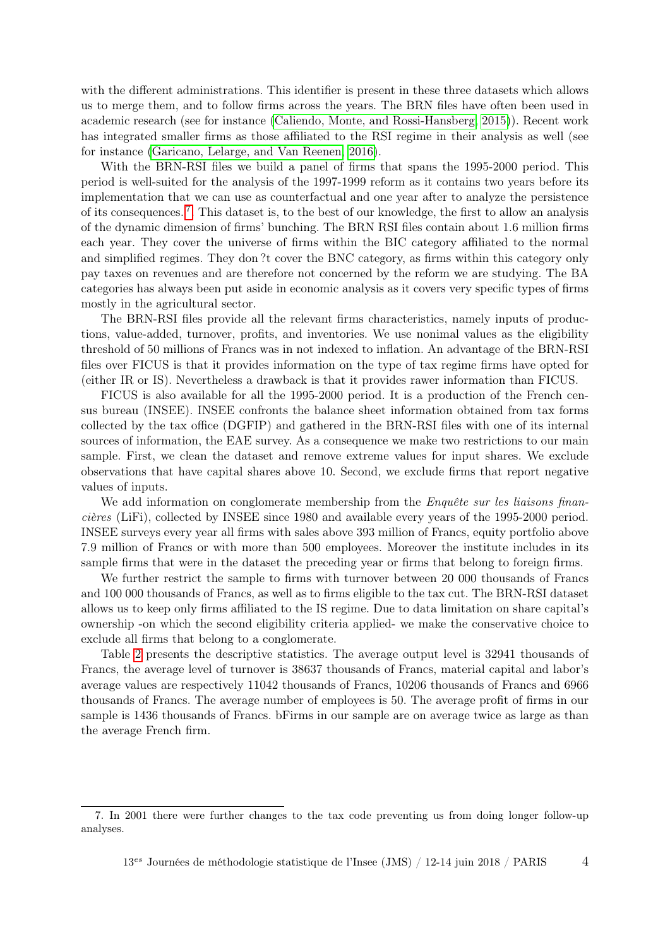with the different administrations. This identifier is present in these three datasets which allows us to merge them, and to follow firms across the years. The BRN files have often been used in academic research (see for instance [\(Caliendo, Monte, and Rossi-Hansberg, 2015\)](#page-12-7)). Recent work has integrated smaller firms as those affiliated to the RSI regime in their analysis as well (see for instance [\(Garicano, Lelarge, and Van Reenen, 2016\)](#page-13-4).

With the BRN-RSI files we build a panel of firms that spans the 1995-2000 period. This period is well-suited for the analysis of the 1997-1999 reform as it contains two years before its implementation that we can use as counterfactual and one year after to analyze the persistence of its consequences. [7](#page-0-0) . This dataset is, to the best of our knowledge, the first to allow an analysis of the dynamic dimension of firms' bunching. The BRN RSI files contain about 1.6 million firms each year. They cover the universe of firms within the BIC category affiliated to the normal and simplified regimes. They don ?t cover the BNC category, as firms within this category only pay taxes on revenues and are therefore not concerned by the reform we are studying. The BA categories has always been put aside in economic analysis as it covers very specific types of firms mostly in the agricultural sector.

The BRN-RSI files provide all the relevant firms characteristics, namely inputs of productions, value-added, turnover, profits, and inventories. We use nonimal values as the eligibility threshold of 50 millions of Francs was in not indexed to inflation. An advantage of the BRN-RSI files over FICUS is that it provides information on the type of tax regime firms have opted for (either IR or IS). Nevertheless a drawback is that it provides rawer information than FICUS.

FICUS is also available for all the 1995-2000 period. It is a production of the French census bureau (INSEE). INSEE confronts the balance sheet information obtained from tax forms collected by the tax office (DGFIP) and gathered in the BRN-RSI files with one of its internal sources of information, the EAE survey. As a consequence we make two restrictions to our main sample. First, we clean the dataset and remove extreme values for input shares. We exclude observations that have capital shares above 10. Second, we exclude firms that report negative values of inputs.

We add information on conglomerate membership from the *Enquête sur les liaisons finan*cières (LiFi), collected by INSEE since 1980 and available every years of the 1995-2000 period. INSEE surveys every year all firms with sales above 393 million of Francs, equity portfolio above 7.9 million of Francs or with more than 500 employees. Moreover the institute includes in its sample firms that were in the dataset the preceding year or firms that belong to foreign firms.

We further restrict the sample to firms with turnover between 20 000 thousands of Francs and 100 000 thousands of Francs, as well as to firms eligible to the tax cut. The BRN-RSI dataset allows us to keep only firms affiliated to the IS regime. Due to data limitation on share capital's ownership -on which the second eligibility criteria applied- we make the conservative choice to exclude all firms that belong to a conglomerate.

Table [2](#page-24-1) presents the descriptive statistics. The average output level is 32941 thousands of Francs, the average level of turnover is 38637 thousands of Francs, material capital and labor's average values are respectively 11042 thousands of Francs, 10206 thousands of Francs and 6966 thousands of Francs. The average number of employees is 50. The average profit of firms in our sample is 1436 thousands of Francs. bFirms in our sample are on average twice as large as than the average French firm.

<sup>7.</sup> In 2001 there were further changes to the tax code preventing us from doing longer follow-up analyses.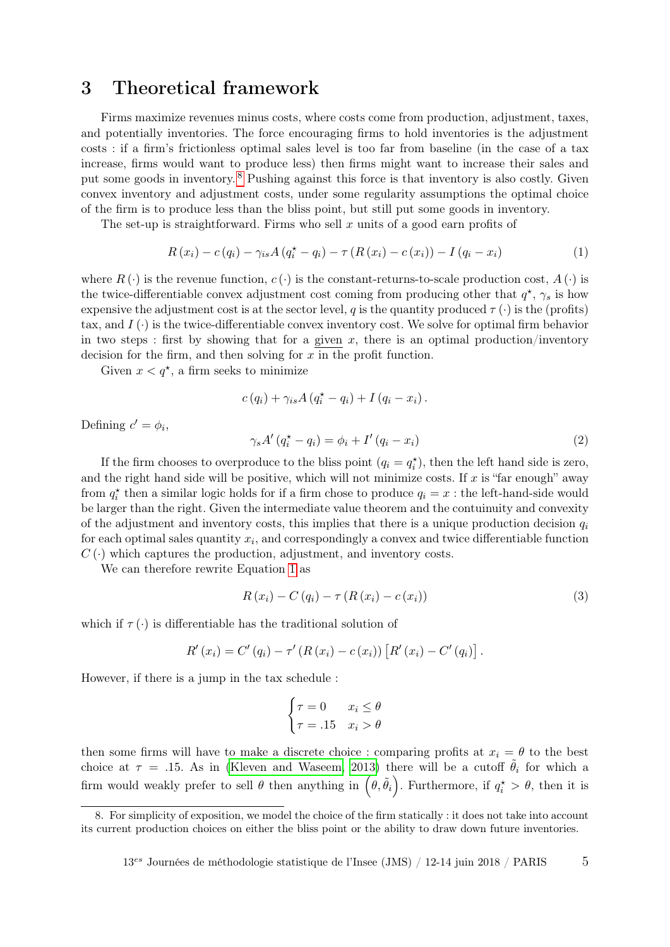### 3 Theoretical framework

Firms maximize revenues minus costs, where costs come from production, adjustment, taxes, and potentially inventories. The force encouraging firms to hold inventories is the adjustment costs : if a firm's frictionless optimal sales level is too far from baseline (in the case of a tax increase, firms would want to produce less) then firms might want to increase their sales and put some goods in inventory. [8](#page-0-0) Pushing against this force is that inventory is also costly. Given convex inventory and adjustment costs, under some regularity assumptions the optimal choice of the firm is to produce less than the bliss point, but still put some goods in inventory.

The set-up is straightforward. Firms who sell  $x$  units of a good earn profits of

<span id="page-4-0"></span>
$$
R(x_i) - c(q_i) - \gamma_{is} A(q_i^* - q_i) - \tau (R(x_i) - c(x_i)) - I(q_i - x_i)
$$
\n(1)

where  $R(\cdot)$  is the revenue function,  $c(\cdot)$  is the constant-returns-to-scale production cost,  $A(\cdot)$  is the twice-differentiable convex adjustment cost coming from producing other that  $q^*$ ,  $\gamma_s$  is how expensive the adjustment cost is at the sector level, q is the quantity produced  $\tau(\cdot)$  is the (profits) tax, and  $I(\cdot)$  is the twice-differentiable convex inventory cost. We solve for optimal firm behavior in two steps : first by showing that for a given x, there is an optimal production/inventory decision for the firm, and then solving for  $x$  in the profit function.

Given  $x < q^*$ , a firm seeks to minimize

$$
c(q_i) + \gamma_{is} A (q_i^* - q_i) + I (q_i - x_i).
$$

Defining  $c' = \phi_i$ ,

$$
\gamma_s A' \left( q_i^* - q_i \right) = \phi_i + I' \left( q_i - x_i \right) \tag{2}
$$

If the firm chooses to overproduce to the bliss point  $(q_i = q_i^*)$ , then the left hand side is zero, and the right hand side will be positive, which will not minimize costs. If  $x$  is "far enough" away from  $q_i^*$  then a similar logic holds for if a firm chose to produce  $q_i = x$ : the left-hand-side would be larger than the right. Given the intermediate value theorem and the contuinuity and convexity of the adjustment and inventory costs, this implies that there is a unique production decision  $q_i$ for each optimal sales quantity  $x_i$ , and correspondingly a convex and twice differentiable function  $C(\cdot)$  which captures the production, adjustment, and inventory costs.

We can therefore rewrite Equation [1](#page-4-0) as

$$
R(x_i) - C(q_i) - \tau (R(x_i) - c(x_i)) \tag{3}
$$

which if  $\tau(\cdot)$  is differentiable has the traditional solution of

$$
R'(x_i) = C'(q_i) - \tau'(R(x_i) - c(x_i)) [R'(x_i) - C'(q_i)].
$$

However, if there is a jump in the tax schedule :

$$
\begin{cases} \tau = 0 & x_i \le \theta \\ \tau = .15 & x_i > \theta \end{cases}
$$

then some firms will have to make a discrete choice : comparing profits at  $x_i = \theta$  to the best choice at  $\tau = .15$ . As in [\(Kleven and Waseem, 2013\)](#page-13-6) there will be a cutoff  $\theta_i$  for which a firm would weakly prefer to sell  $\theta$  then anything in  $(\theta, \tilde{\theta}_i)$ . Furthermore, if  $q_i^* > \theta$ , then it is

<sup>8.</sup> For simplicity of exposition, we model the choice of the firm statically : it does not take into account its current production choices on either the bliss point or the ability to draw down future inventories.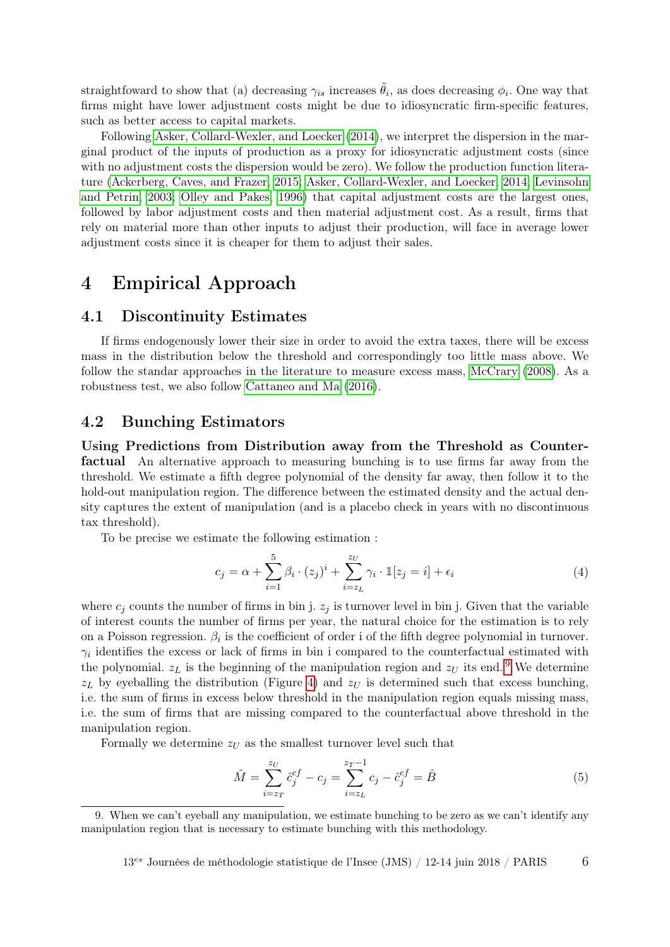straightfoward to show that (a) decreasing  $\gamma_{is}$  increases  $\tilde{\theta}_i$ , as does decreasing  $\phi_i$ . One way that firms might have lower adjustment costs might be due to idiosyncratic firm-specific features, such as better access to capital markets.

Following [Asker, Collard-Wexler, and Loecker](#page-12-0) [\(2014\)](#page-12-0), we interpret the dispersion in the marginal product of the inputs of production as a proxy for idiosyncratic adjustment costs (since with no adjustment costs the dispersion would be zero). We follow the production function literature [\(Ackerberg, Caves, and Frazer, 2015;](#page-12-8) [Asker, Collard-Wexler, and Loecker, 2014;](#page-12-0) [Levinsohn](#page-13-13) [and Petrin, 2003;](#page-13-13) [Olley and Pakes, 1996\)](#page-13-14) that capital adjustment costs are the largest ones, followed by labor adjustment costs and then material adjustment cost. As a result, firms that rely on material more than other inputs to adjust their production, will face in average lower adjustment costs since it is cheaper for them to adjust their sales.

### 4 Empirical Approach

#### 4.1 Discontinuity Estimates

If firms endogenously lower their size in order to avoid the extra taxes, there will be excess mass in the distribution below the threshold and correspondingly too little mass above. We follow the standar approaches in the literature to measure excess mass, [McCrary](#page-13-15) [\(2008\)](#page-13-15). As a robustness test, we also follow [Cattaneo and Ma](#page-13-16) [\(2016\)](#page-13-16).

#### 4.2 Bunching Estimators

Using Predictions from Distribution away from the Threshold as Counterfactual An alternative approach to measuring bunching is to use firms far away from the threshold. We estimate a fifth degree polynomial of the density far away, then follow it to the hold-out manipulation region. The difference between the estimated density and the actual density captures the extent of manipulation (and is a placebo check in years with no discontinuous tax threshold).

<span id="page-5-0"></span>To be precise we estimate the following estimation :

$$
c_j = \alpha + \sum_{i=1}^{5} \beta_i \cdot (z_j)^i + \sum_{i=z_L}^{z_U} \gamma_i \cdot \mathbb{1}[z_j = i] + \epsilon_i \tag{4}
$$

where  $c_j$  counts the number of firms in bin j.  $z_j$  is turnover level in bin j. Given that the variable of interest counts the number of firms per year, the natural choice for the estimation is to rely on a Poisson regression.  $\beta_i$  is the coefficient of order i of the fifth degree polynomial in turnover.  $\gamma_i$  identifies the excess or lack of firms in bin i compared to the counterfactual estimated with the polynomial.  $z_L$  is the beginning of the manipulation region and  $z_U$  its end. <sup>[9](#page-0-0)</sup> We determine  $z_L$  by eyeballing the distribution (Figure [4\)](#page-19-0) and  $z_U$  is determined such that excess bunching, i.e. the sum of firms in excess below threshold in the manipulation region equals missing mass, i.e. the sum of firms that are missing compared to the counterfactual above threshold in the manipulation region.

Formally we determine  $z_U$  as the smallest turnover level such that

$$
\hat{M} = \sum_{i=z_T}^{z_U} \hat{c}_j^{cf} - c_j = \sum_{i=z_L}^{z_T - 1} c_j - \hat{c}_j^{cf} = \hat{B}
$$
\n(5)

<sup>9.</sup> When we can't eyeball any manipulation, we estimate bunching to be zero as we can't identify any manipulation region that is necessary to estimate bunching with this methodology.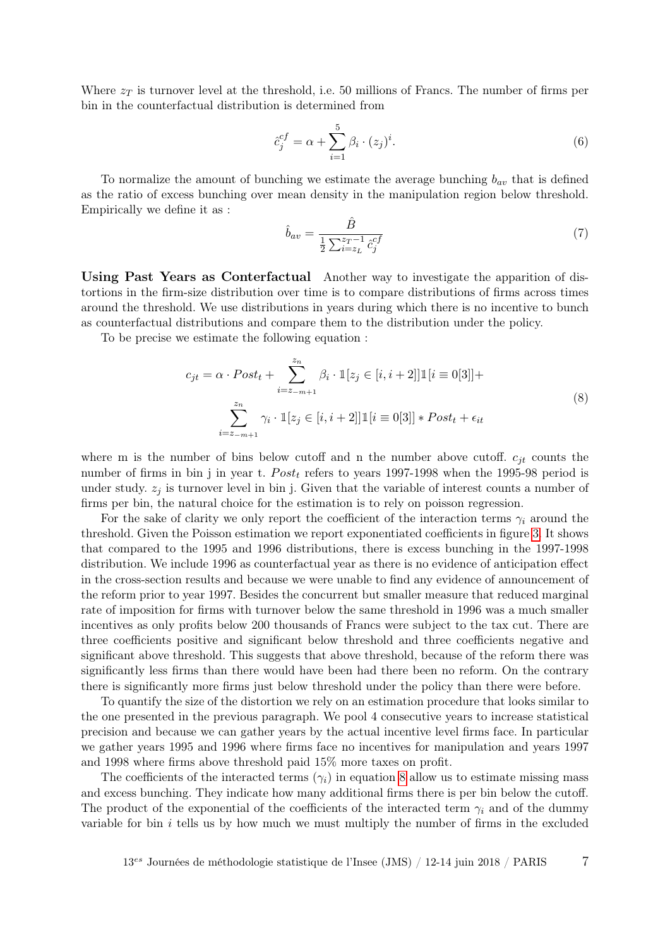Where  $z_T$  is turnover level at the threshold, i.e. 50 millions of Francs. The number of firms per bin in the counterfactual distribution is determined from

$$
\hat{c}_j^{cf} = \alpha + \sum_{i=1}^5 \beta_i \cdot (z_j)^i. \tag{6}
$$

To normalize the amount of bunching we estimate the average bunching  $b_{av}$  that is defined as the ratio of excess bunching over mean density in the manipulation region below threshold. Empirically we define it as :

$$
\hat{b}_{av} = \frac{\hat{B}}{\frac{1}{2} \sum_{i=z_L}^{z_T - 1} \hat{c}_j^{cf}}
$$
\n(7)

Using Past Years as Conterfactual Another way to investigate the apparition of distortions in the firm-size distribution over time is to compare distributions of firms across times around the threshold. We use distributions in years during which there is no incentive to bunch as counterfactual distributions and compare them to the distribution under the policy.

<span id="page-6-0"></span>To be precise we estimate the following equation :

$$
c_{jt} = \alpha \cdot Post_t + \sum_{i=z_{-m+1}}^{z_n} \beta_i \cdot \mathbb{1}[z_j \in [i, i+2]] \mathbb{1}[i \equiv 0[3]] +
$$
  

$$
\sum_{i=z_{-m+1}}^{z_n} \gamma_i \cdot \mathbb{1}[z_j \in [i, i+2]] \mathbb{1}[i \equiv 0[3]] * Post_t + \epsilon_{it}
$$
  
(8)

where m is the number of bins below cutoff and n the number above cutoff.  $c_{it}$  counts the number of firms in bin j in year t.  $Post<sub>t</sub>$  refers to years 1997-1998 when the 1995-98 period is under study.  $z_i$  is turnover level in bin j. Given that the variable of interest counts a number of firms per bin, the natural choice for the estimation is to rely on poisson regression.

For the sake of clarity we only report the coefficient of the interaction terms  $\gamma_i$  around the threshold. Given the Poisson estimation we report exponentiated coefficients in figure [3.](#page-18-0) It shows that compared to the 1995 and 1996 distributions, there is excess bunching in the 1997-1998 distribution. We include 1996 as counterfactual year as there is no evidence of anticipation effect in the cross-section results and because we were unable to find any evidence of announcement of the reform prior to year 1997. Besides the concurrent but smaller measure that reduced marginal rate of imposition for firms with turnover below the same threshold in 1996 was a much smaller incentives as only profits below 200 thousands of Francs were subject to the tax cut. There are three coefficients positive and significant below threshold and three coefficients negative and significant above threshold. This suggests that above threshold, because of the reform there was significantly less firms than there would have been had there been no reform. On the contrary there is significantly more firms just below threshold under the policy than there were before.

To quantify the size of the distortion we rely on an estimation procedure that looks similar to the one presented in the previous paragraph. We pool 4 consecutive years to increase statistical precision and because we can gather years by the actual incentive level firms face. In particular we gather years 1995 and 1996 where firms face no incentives for manipulation and years 1997 and 1998 where firms above threshold paid 15% more taxes on profit.

The coefficients of the interacted terms  $(\gamma_i)$  in equation [8](#page-6-0) allow us to estimate missing mass and excess bunching. They indicate how many additional firms there is per bin below the cutoff. The product of the exponential of the coefficients of the interacted term  $\gamma_i$  and of the dummy variable for bin  $i$  tells us by how much we must multiply the number of firms in the excluded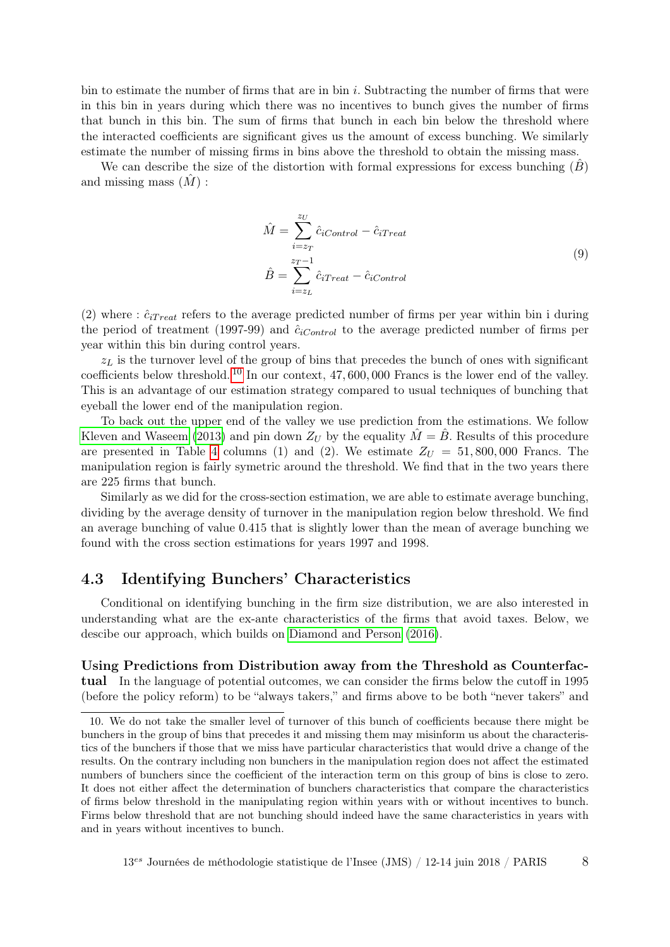bin to estimate the number of firms that are in bin i. Subtracting the number of firms that were in this bin in years during which there was no incentives to bunch gives the number of firms that bunch in this bin. The sum of firms that bunch in each bin below the threshold where the interacted coefficients are significant gives us the amount of excess bunching. We similarly estimate the number of missing firms in bins above the threshold to obtain the missing mass.

We can describe the size of the distortion with formal expressions for excess bunching  $(\hat{B})$ and missing mass  $(M)$ :

$$
\hat{M} = \sum_{i=z_T}^{z_U} \hat{c}_{iControl} - \hat{c}_{iTreat}
$$
\n
$$
\hat{B} = \sum_{i=z_L}^{z_T-1} \hat{c}_{iTreat} - \hat{c}_{iControl}
$$
\n(9)

(2) where :  $\hat{c}_{iTreat}$  refers to the average predicted number of firms per year within bin i during the period of treatment (1997-99) and  $\hat{c}_{iControl}$  to the average predicted number of firms per year within this bin during control years.

 $z_L$  is the turnover level of the group of bins that precedes the bunch of ones with significant coefficients below threshold. [10](#page-0-0) In our context, 47, 600, 000 Francs is the lower end of the valley. This is an advantage of our estimation strategy compared to usual techniques of bunching that eyeball the lower end of the manipulation region.

To back out the upper end of the valley we use prediction from the estimations. We follow [Kleven and Waseem](#page-13-6) [\(2013\)](#page-13-6) and pin down  $Z_U$  by the equality  $\hat{M} = \hat{B}$ . Results of this procedure are presented in Table [4](#page-26-0) columns (1) and (2). We estimate  $Z_U = 51,800,000$  Francs. The manipulation region is fairly symetric around the threshold. We find that in the two years there are 225 firms that bunch.

Similarly as we did for the cross-section estimation, we are able to estimate average bunching, dividing by the average density of turnover in the manipulation region below threshold. We find an average bunching of value 0.415 that is slightly lower than the mean of average bunching we found with the cross section estimations for years 1997 and 1998.

#### 4.3 Identifying Bunchers' Characteristics

Conditional on identifying bunching in the firm size distribution, we are also interested in understanding what are the ex-ante characteristics of the firms that avoid taxes. Below, we descibe our approach, which builds on [Diamond and Person](#page-13-2) [\(2016\)](#page-13-2).

Using Predictions from Distribution away from the Threshold as Counterfactual In the language of potential outcomes, we can consider the firms below the cutoff in 1995 (before the policy reform) to be "always takers," and firms above to be both "never takers" and

<sup>10.</sup> We do not take the smaller level of turnover of this bunch of coefficients because there might be bunchers in the group of bins that precedes it and missing them may misinform us about the characteristics of the bunchers if those that we miss have particular characteristics that would drive a change of the results. On the contrary including non bunchers in the manipulation region does not affect the estimated numbers of bunchers since the coefficient of the interaction term on this group of bins is close to zero. It does not either affect the determination of bunchers characteristics that compare the characteristics of firms below threshold in the manipulating region within years with or without incentives to bunch. Firms below threshold that are not bunching should indeed have the same characteristics in years with and in years without incentives to bunch.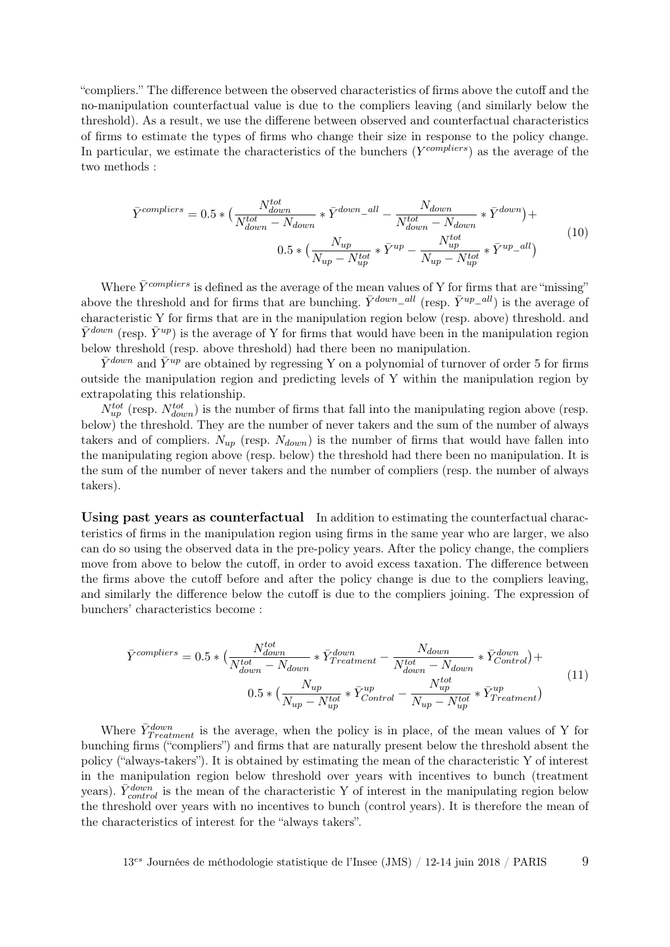"compliers." The difference between the observed characteristics of firms above the cutoff and the no-manipulation counterfactual value is due to the compliers leaving (and similarly below the threshold). As a result, we use the differene between observed and counterfactual characteristics of firms to estimate the types of firms who change their size in response to the policy change. In particular, we estimate the characteristics of the bunchers  $(Y^{compliers})$  as the average of the two methods :

$$
\bar{Y}^{compliers} = 0.5 * \left(\frac{N_{down}^{tot}}{N_{down}^{tot} - N_{down}} * \bar{Y}^{down} - \frac{N_{down}^{tot}}{N_{down}^{tot} - N_{down}} * \bar{Y}^{down}\right) +
$$
\n
$$
0.5 * \left(\frac{N_{up}}{N_{up} - N_{up}^{tot}} * \bar{Y}^{up} - \frac{N_{up}^{tot}}{N_{up} - N_{up}^{tot}} * \bar{Y}^{up} - \frac{N_{up}^{tot}}{N_{up} - N_{up}^{tot}} * \bar{Y}^{up} - \frac{N_{up}^{tot}}{N_{up} - N_{up}^{tot}}\right) \tag{10}
$$

Where  $\bar{Y}$ <sup>compliers</sup> is defined as the average of the mean values of Y for firms that are "missing" above the threshold and for firms that are bunching.  $\bar{Y}^{down\_all}$  (resp.  $\bar{Y}^{up\_all}$ ) is the average of characteristic Y for firms that are in the manipulation region below (resp. above) threshold. and  $\bar{Y}^{down}$  (resp.  $\bar{Y}^{up}$ ) is the average of Y for firms that would have been in the manipulation region below threshold (resp. above threshold) had there been no manipulation.

 $\bar{Y}^{down}$  and  $\bar{Y}^{up}$  are obtained by regressing Y on a polynomial of turnover of order 5 for firms outside the manipulation region and predicting levels of Y within the manipulation region by extrapolating this relationship.

 $N_{up}^{tot}$  (resp.  $N_{down}^{tot}$ ) is the number of firms that fall into the manipulating region above (resp. below) the threshold. They are the number of never takers and the sum of the number of always takers and of compliers.  $N_{up}$  (resp.  $N_{down}$ ) is the number of firms that would have fallen into the manipulating region above (resp. below) the threshold had there been no manipulation. It is the sum of the number of never takers and the number of compliers (resp. the number of always takers).

Using past years as counterfactual In addition to estimating the counterfactual characteristics of firms in the manipulation region using firms in the same year who are larger, we also can do so using the observed data in the pre-policy years. After the policy change, the compliers move from above to below the cutoff, in order to avoid excess taxation. The difference between the firms above the cutoff before and after the policy change is due to the compliers leaving, and similarly the difference below the cutoff is due to the compliers joining. The expression of bunchers' characteristics become :

$$
\bar{Y}^{compliers} = 0.5 * \left(\frac{N_{down}^{tot}}{N_{down}^{tot} - N_{down}} * \bar{Y}_{Treatment}^{down} - \frac{N_{down}}{N_{down}^{tot} - N_{down}} * \bar{Y}_{Control}^{down}\right) +
$$
\n
$$
0.5 * \left(\frac{N_{up}}{N_{up} - N_{up}^{tot}} * \bar{Y}_{Control}^{up} - \frac{N_{up}^{tot}}{N_{up} - N_{up}^{tot}} * \bar{Y}_{Treatment}^{up}\right) \tag{11}
$$

Where  $\bar{Y}_{Treatment}^{down}$  is the average, when the policy is in place, of the mean values of Y for bunching firms ("compliers") and firms that are naturally present below the threshold absent the policy ("always-takers"). It is obtained by estimating the mean of the characteristic Y of interest in the manipulation region below threshold over years with incentives to bunch (treatment years).  $\bar{Y}_{control}^{down}$  is the mean of the characteristic Y of interest in the manipulating region below the threshold over years with no incentives to bunch (control years). It is therefore the mean of the characteristics of interest for the "always takers".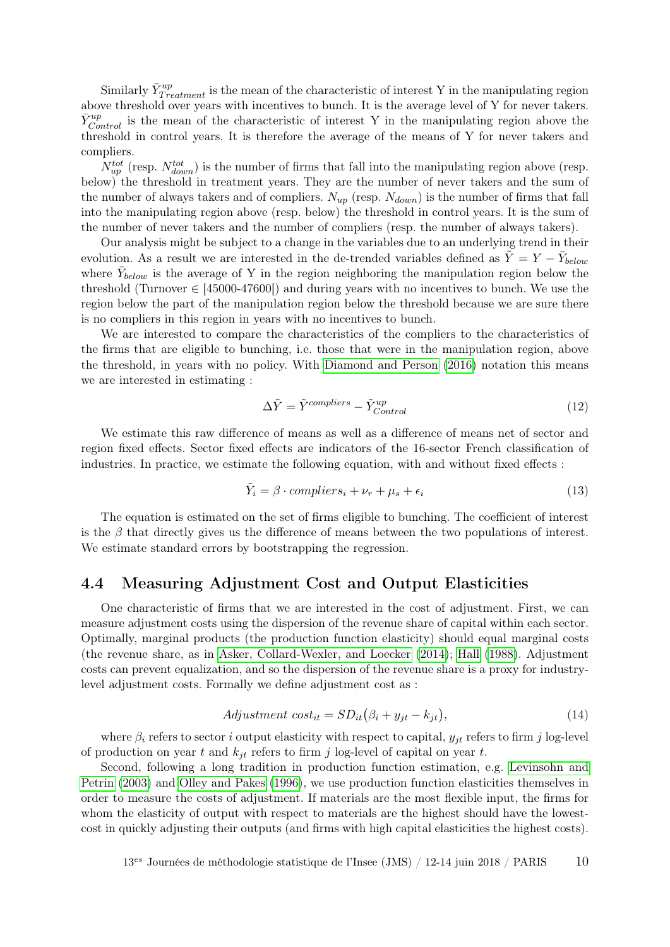Similarly  $\bar{Y}_{Treatment}^{up}$  is the mean of the characteristic of interest Y in the manipulating region above threshold over years with incentives to bunch. It is the average level of Y for never takers.  $\bar{Y}^{up}_{Control}$  is the mean of the characteristic of interest Y in the manipulating region above the threshold in control years. It is therefore the average of the means of Y for never takers and compliers.

 $N_{up}^{tot}$  (resp.  $N_{down}^{tot}$ ) is the number of firms that fall into the manipulating region above (resp. below) the threshold in treatment years. They are the number of never takers and the sum of the number of always takers and of compliers.  $N_{up}$  (resp.  $N_{down}$ ) is the number of firms that fall into the manipulating region above (resp. below) the threshold in control years. It is the sum of the number of never takers and the number of compliers (resp. the number of always takers).

Our analysis might be subject to a change in the variables due to an underlying trend in their evolution. As a result we are interested in the de-trended variables defined as  $\tilde{Y} = Y - \bar{Y}_{below}$ where  $\bar{Y}_{below}$  is the average of Y in the region neighboring the manipulation region below the threshold (Turnover  $\in$  [45000-47600]) and during years with no incentives to bunch. We use the region below the part of the manipulation region below the threshold because we are sure there is no compliers in this region in years with no incentives to bunch.

We are interested to compare the characteristics of the compliers to the characteristics of the firms that are eligible to bunching, i.e. those that were in the manipulation region, above the threshold, in years with no policy. With [Diamond and Person](#page-13-2) [\(2016\)](#page-13-2) notation this means we are interested in estimating :

$$
\Delta \tilde{Y} = \tilde{Y}^{compliers} - \tilde{Y}^{up}_{Control} \tag{12}
$$

We estimate this raw difference of means as well as a difference of means net of sector and region fixed effects. Sector fixed effects are indicators of the 16-sector French classification of industries. In practice, we estimate the following equation, with and without fixed effects :

$$
\tilde{Y}_i = \beta \cdot compliers_i + \nu_r + \mu_s + \epsilon_i \tag{13}
$$

The equation is estimated on the set of firms eligible to bunching. The coefficient of interest is the  $\beta$  that directly gives us the difference of means between the two populations of interest. We estimate standard errors by bootstrapping the regression.

#### 4.4 Measuring Adjustment Cost and Output Elasticities

One characteristic of firms that we are interested in the cost of adjustment. First, we can measure adjustment costs using the dispersion of the revenue share of capital within each sector. Optimally, marginal products (the production function elasticity) should equal marginal costs (the revenue share, as in [Asker, Collard-Wexler, and Loecker](#page-12-0) [\(2014\)](#page-12-0); [Hall](#page-13-17) [\(1988\)](#page-13-17). Adjustment costs can prevent equalization, and so the dispersion of the revenue share is a proxy for industrylevel adjustment costs. Formally we define adjustment cost as :

$$
Adjustment cost_{it} = SD_{it}(\beta_i + y_{jt} - k_{jt}),
$$
\n(14)

where  $\beta_i$  refers to sector *i* output elasticity with respect to capital,  $y_{it}$  refers to firm *j* log-level of production on year t and  $k_{it}$  refers to firm j log-level of capital on year t.

Second, following a long tradition in production function estimation, e.g. [Levinsohn and](#page-13-13) [Petrin](#page-13-13) [\(2003\)](#page-13-13) and [Olley and Pakes](#page-13-14) [\(1996\)](#page-13-14), we use production function elasticities themselves in order to measure the costs of adjustment. If materials are the most flexible input, the firms for whom the elasticity of output with respect to materials are the highest should have the lowestcost in quickly adjusting their outputs (and firms with high capital elasticities the highest costs).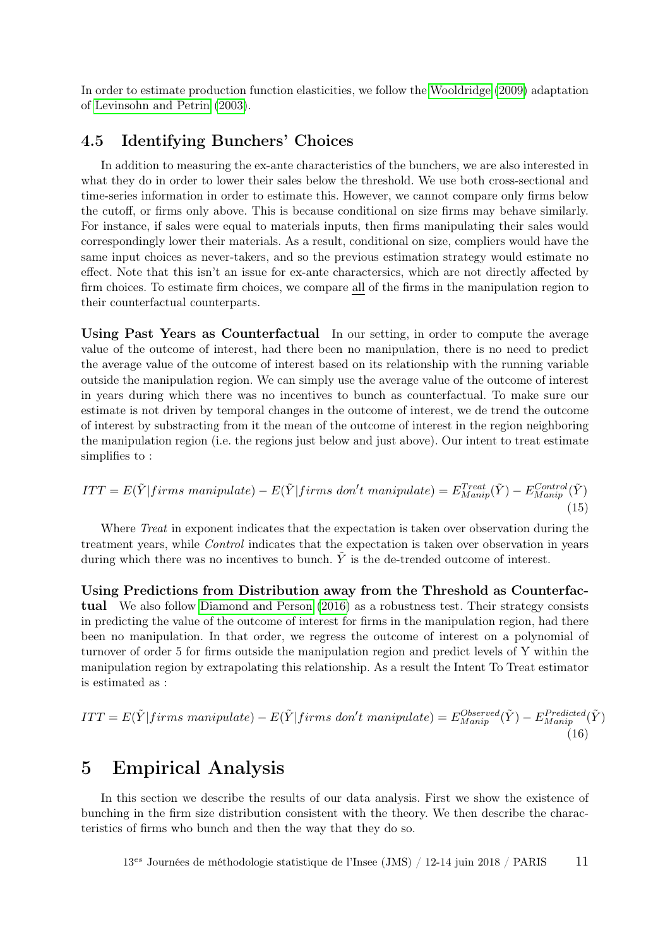In order to estimate production function elasticities, we follow the [Wooldridge](#page-14-1) [\(2009\)](#page-14-1) adaptation of [Levinsohn and Petrin](#page-13-13) [\(2003\)](#page-13-13).

#### 4.5 Identifying Bunchers' Choices

In addition to measuring the ex-ante characteristics of the bunchers, we are also interested in what they do in order to lower their sales below the threshold. We use both cross-sectional and time-series information in order to estimate this. However, we cannot compare only firms below the cutoff, or firms only above. This is because conditional on size firms may behave similarly. For instance, if sales were equal to materials inputs, then firms manipulating their sales would correspondingly lower their materials. As a result, conditional on size, compliers would have the same input choices as never-takers, and so the previous estimation strategy would estimate no effect. Note that this isn't an issue for ex-ante charactersics, which are not directly affected by firm choices. To estimate firm choices, we compare all of the firms in the manipulation region to their counterfactual counterparts.

Using Past Years as Counterfactual In our setting, in order to compute the average value of the outcome of interest, had there been no manipulation, there is no need to predict the average value of the outcome of interest based on its relationship with the running variable outside the manipulation region. We can simply use the average value of the outcome of interest in years during which there was no incentives to bunch as counterfactual. To make sure our estimate is not driven by temporal changes in the outcome of interest, we de trend the outcome of interest by substracting from it the mean of the outcome of interest in the region neighboring the manipulation region (i.e. the regions just below and just above). Our intent to treat estimate simplifies to :

$$
ITT = E(\tilde{Y} | firms\ manipulate) - E(\tilde{Y} | firms\ don't\ manipulate) = E_{Mainp}^{Treat}(\tilde{Y}) - E_{Mainp}^{Control}(\tilde{Y})
$$
\n(15)

Where *Treat* in exponent indicates that the expectation is taken over observation during the treatment years, while Control indicates that the expectation is taken over observation in years during which there was no incentives to bunch.  $\tilde{Y}$  is the de-trended outcome of interest.

Using Predictions from Distribution away from the Threshold as Counterfactual We also follow [Diamond and Person](#page-13-2) [\(2016\)](#page-13-2) as a robustness test. Their strategy consists in predicting the value of the outcome of interest for firms in the manipulation region, had there been no manipulation. In that order, we regress the outcome of interest on a polynomial of turnover of order 5 for firms outside the manipulation region and predict levels of Y within the manipulation region by extrapolating this relationship. As a result the Intent To Treat estimator is estimated as :

$$
ITT = E(\tilde{Y} | firms\ manipulate) - E(\tilde{Y} | firms\ don't\ manipulate) = E_{Mainip}^{Observed}(\tilde{Y}) - E_{Mainip}^{Predicted}(\tilde{Y})
$$
\n(16)

### 5 Empirical Analysis

In this section we describe the results of our data analysis. First we show the existence of bunching in the firm size distribution consistent with the theory. We then describe the characteristics of firms who bunch and then the way that they do so.

 $13^{es}$  Journées de méthodologie statistique de l'Insee (JMS) / 12-14 juin 2018 / PARIS 11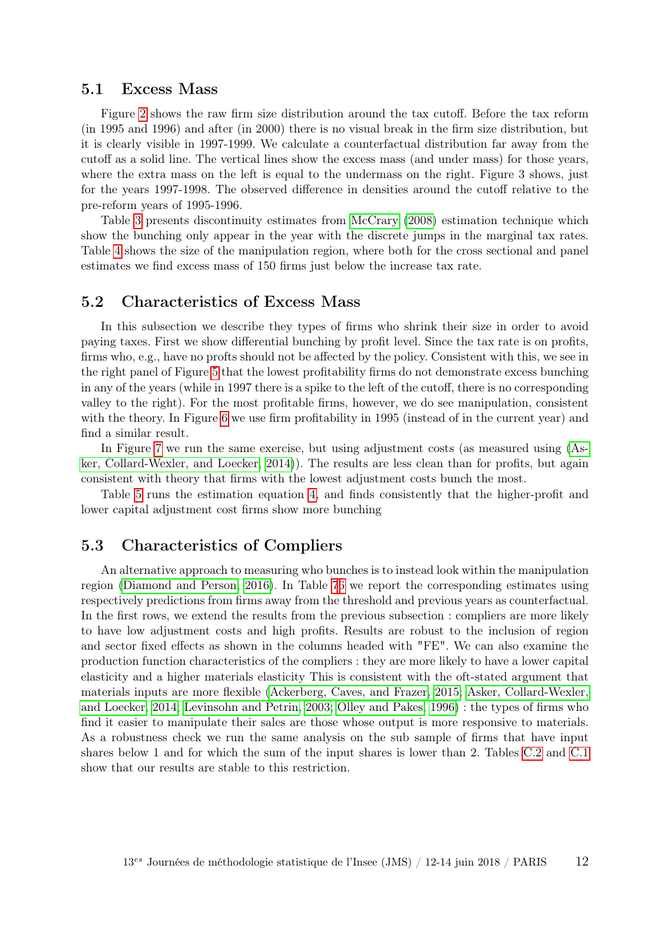#### 5.1 Excess Mass

Figure [2](#page-17-0) shows the raw firm size distribution around the tax cutoff. Before the tax reform (in 1995 and 1996) and after (in 2000) there is no visual break in the firm size distribution, but it is clearly visible in 1997-1999. We calculate a counterfactual distribution far away from the cutoff as a solid line. The vertical lines show the excess mass (and under mass) for those years, where the extra mass on the left is equal to the undermass on the right. Figure 3 shows, just for the years 1997-1998. The observed difference in densities around the cutoff relative to the pre-reform years of 1995-1996.

Table [3](#page-25-0) presents discontinuity estimates from [McCrary](#page-13-15) [\(2008\)](#page-13-15) estimation technique which show the bunching only appear in the year with the discrete jumps in the marginal tax rates. Table [4](#page-26-0) shows the size of the manipulation region, where both for the cross sectional and panel estimates we find excess mass of 150 firms just below the increase tax rate.

#### 5.2 Characteristics of Excess Mass

In this subsection we describe they types of firms who shrink their size in order to avoid paying taxes. First we show differential bunching by profit level. Since the tax rate is on profits, firms who, e.g., have no profts should not be affected by the policy. Consistent with this, we see in the right panel of Figure [5](#page-20-0) that the lowest profitability firms do not demonstrate excess bunching in any of the years (while in 1997 there is a spike to the left of the cutoff, there is no corresponding valley to the right). For the most profitable firms, however, we do see manipulation, consistent with the theory. In Figure [6](#page-21-0) we use firm profitability in 1995 (instead of in the current year) and find a similar result.

In Figure [7](#page-22-0) we run the same exercise, but using adjustment costs (as measured using [\(As](#page-12-0)[ker, Collard-Wexler, and Loecker, 2014\)](#page-12-0)). The results are less clean than for profits, but again consistent with theory that firms with the lowest adjustment costs bunch the most.

Table [5](#page-26-1) runs the estimation equation [4,](#page-5-0) and finds consistently that the higher-profit and lower capital adjustment cost firms show more bunching

#### 5.3 Characteristics of Compliers

An alternative approach to measuring who bunches is to instead look within the manipulation region [\(Diamond and Person, 2016\)](#page-13-2). In Table [7](#page-28-0)[6](#page-27-0) we report the corresponding estimates using respectively predictions from firms away from the threshold and previous years as counterfactual. In the first rows, we extend the results from the previous subsection : compliers are more likely to have low adjustment costs and high profits. Results are robust to the inclusion of region and sector fixed effects as shown in the columns headed with "FE". We can also examine the production function characteristics of the compliers : they are more likely to have a lower capital elasticity and a higher materials elasticity This is consistent with the oft-stated argument that materials inputs are more flexible [\(Ackerberg, Caves, and Frazer, 2015;](#page-12-8) [Asker, Collard-Wexler,](#page-12-0) [and Loecker, 2014;](#page-12-0) [Levinsohn and Petrin, 2003;](#page-13-13) [Olley and Pakes, 1996\)](#page-13-14) : the types of firms who find it easier to manipulate their sales are those whose output is more responsive to materials. As a robustness check we run the same analysis on the sub sample of firms that have input shares below 1 and for which the sum of the input shares is lower than 2. Tables [C.2](#page-32-0) and [C.1](#page-31-0) show that our results are stable to this restriction.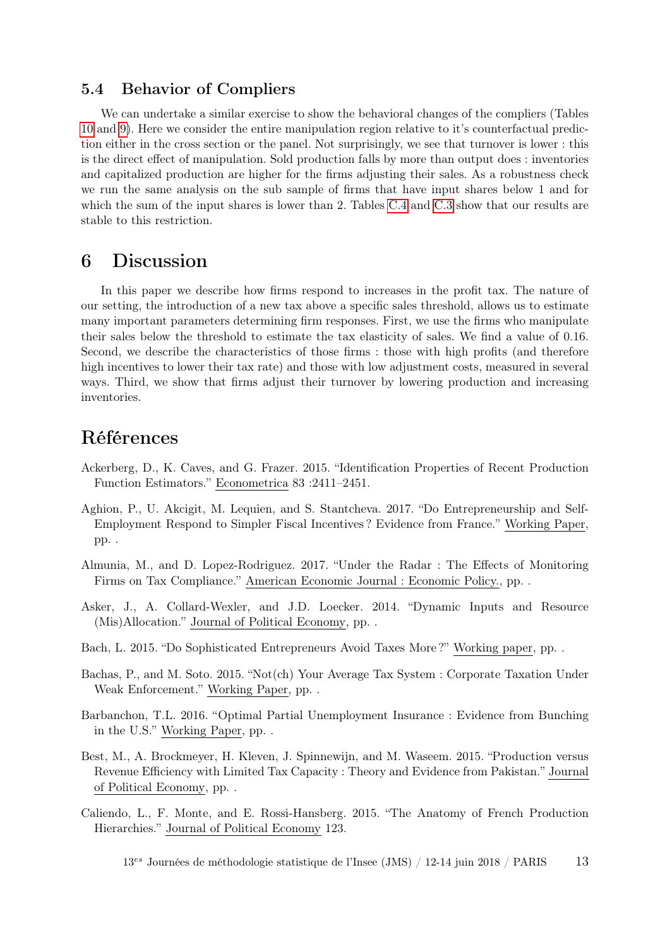#### 5.4 Behavior of Compliers

We can undertake a similar exercise to show the behavioral changes of the compliers (Tables [10](#page-30-0) and [9\)](#page-29-0). Here we consider the entire manipulation region relative to it's counterfactual prediction either in the cross section or the panel. Not surprisingly, we see that turnover is lower : this is the direct effect of manipulation. Sold production falls by more than output does : inventories and capitalized production are higher for the firms adjusting their sales. As a robustness check we run the same analysis on the sub sample of firms that have input shares below 1 and for which the sum of the input shares is lower than 2. Tables [C.4](#page-33-0) and [C.3](#page-32-1) show that our results are stable to this restriction.

### 6 Discussion

In this paper we describe how firms respond to increases in the profit tax. The nature of our setting, the introduction of a new tax above a specific sales threshold, allows us to estimate many important parameters determining firm responses. First, we use the firms who manipulate their sales below the threshold to estimate the tax elasticity of sales. We find a value of 0.16. Second, we describe the characteristics of those firms : those with high profits (and therefore high incentives to lower their tax rate) and those with low adjustment costs, measured in several ways. Third, we show that firms adjust their turnover by lowering production and increasing inventories.

### Références

- <span id="page-12-8"></span>Ackerberg, D., K. Caves, and G. Frazer. 2015. "Identification Properties of Recent Production Function Estimators." Econometrica 83 :2411–2451.
- <span id="page-12-3"></span>Aghion, P., U. Akcigit, M. Lequien, and S. Stantcheva. 2017. "Do Entrepreneurship and Self-Employment Respond to Simpler Fiscal Incentives ? Evidence from France." Working Paper, pp. .
- <span id="page-12-2"></span>Almunia, M., and D. Lopez-Rodriguez. 2017. "Under the Radar : The Effects of Monitoring Firms on Tax Compliance." American Economic Journal : Economic Policy., pp. .
- <span id="page-12-0"></span>Asker, J., A. Collard-Wexler, and J.D. Loecker. 2014. "Dynamic Inputs and Resource (Mis)Allocation." Journal of Political Economy, pp. .
- <span id="page-12-4"></span>Bach, L. 2015. "Do Sophisticated Entrepreneurs Avoid Taxes More ?" Working paper, pp. .
- <span id="page-12-1"></span>Bachas, P., and M. Soto. 2015. "Not(ch) Your Average Tax System : Corporate Taxation Under Weak Enforcement." Working Paper, pp. .
- <span id="page-12-5"></span>Barbanchon, T.L. 2016. "Optimal Partial Unemployment Insurance : Evidence from Bunching in the U.S." Working Paper, pp. .
- <span id="page-12-6"></span>Best, M., A. Brockmeyer, H. Kleven, J. Spinnewijn, and M. Waseem. 2015. "Production versus Revenue Efficiency with Limited Tax Capacity : Theory and Evidence from Pakistan." Journal of Political Economy, pp. .
- <span id="page-12-7"></span>Caliendo, L., F. Monte, and E. Rossi-Hansberg. 2015. "The Anatomy of French Production Hierarchies." Journal of Political Economy 123.

 $13^{es}$  Journées de méthodologie statistique de l'Insee (JMS) / 12-14 juin 2018 / PARIS 13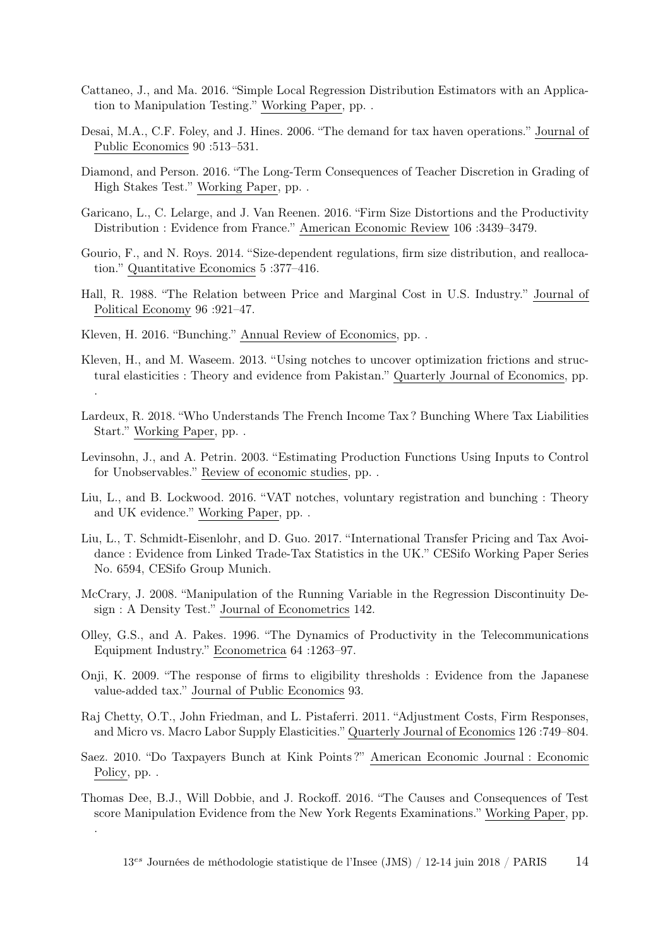- <span id="page-13-16"></span>Cattaneo, J., and Ma. 2016. "Simple Local Regression Distribution Estimators with an Application to Manipulation Testing." Working Paper, pp. .
- <span id="page-13-0"></span>Desai, M.A., C.F. Foley, and J. Hines. 2006. "The demand for tax haven operations." Journal of Public Economics 90 :513–531.
- <span id="page-13-2"></span>Diamond, and Person. 2016. "The Long-Term Consequences of Teacher Discretion in Grading of High Stakes Test." Working Paper, pp. .
- <span id="page-13-4"></span>Garicano, L., C. Lelarge, and J. Van Reenen. 2016. "Firm Size Distortions and the Productivity Distribution : Evidence from France." American Economic Review 106 :3439–3479.
- <span id="page-13-5"></span>Gourio, F., and N. Roys. 2014. "Size-dependent regulations, firm size distribution, and reallocation." Quantitative Economics 5 :377–416.
- <span id="page-13-17"></span>Hall, R. 1988. "The Relation between Price and Marginal Cost in U.S. Industry." Journal of Political Economy 96 :921–47.
- <span id="page-13-10"></span>Kleven, H. 2016. "Bunching." Annual Review of Economics, pp. .

.

.

- <span id="page-13-6"></span>Kleven, H., and M. Waseem. 2013. "Using notches to uncover optimization frictions and structural elasticities : Theory and evidence from Pakistan." Quarterly Journal of Economics, pp.
- <span id="page-13-11"></span>Lardeux, R. 2018. "Who Understands The French Income Tax ? Bunching Where Tax Liabilities Start." Working Paper, pp. .
- <span id="page-13-13"></span>Levinsohn, J., and A. Petrin. 2003. "Estimating Production Functions Using Inputs to Control for Unobservables." Review of economic studies, pp. .
- <span id="page-13-7"></span>Liu, L., and B. Lockwood. 2016. "VAT notches, voluntary registration and bunching : Theory and UK evidence." Working Paper, pp. .
- <span id="page-13-1"></span>Liu, L., T. Schmidt-Eisenlohr, and D. Guo. 2017. "International Transfer Pricing and Tax Avoidance : Evidence from Linked Trade-Tax Statistics in the UK." CESifo Working Paper Series No. 6594, CESifo Group Munich.
- <span id="page-13-15"></span>McCrary, J. 2008. "Manipulation of the Running Variable in the Regression Discontinuity Design : A Density Test." Journal of Econometrics 142.
- <span id="page-13-14"></span>Olley, G.S., and A. Pakes. 1996. "The Dynamics of Productivity in the Telecommunications Equipment Industry." Econometrica 64 :1263–97.
- <span id="page-13-8"></span>Onji, K. 2009. "The response of firms to eligibility thresholds : Evidence from the Japanese value-added tax." Journal of Public Economics 93.
- <span id="page-13-9"></span>Raj Chetty, O.T., John Friedman, and L. Pistaferri. 2011. "Adjustment Costs, Firm Responses, and Micro vs. Macro Labor Supply Elasticities." Quarterly Journal of Economics 126 :749–804.
- <span id="page-13-12"></span>Saez. 2010. "Do Taxpayers Bunch at Kink Points ?" American Economic Journal : Economic Policy, pp. .
- <span id="page-13-3"></span>Thomas Dee, B.J., Will Dobbie, and J. Rockoff. 2016. "The Causes and Consequences of Test score Manipulation Evidence from the New York Regents Examinations." Working Paper, pp.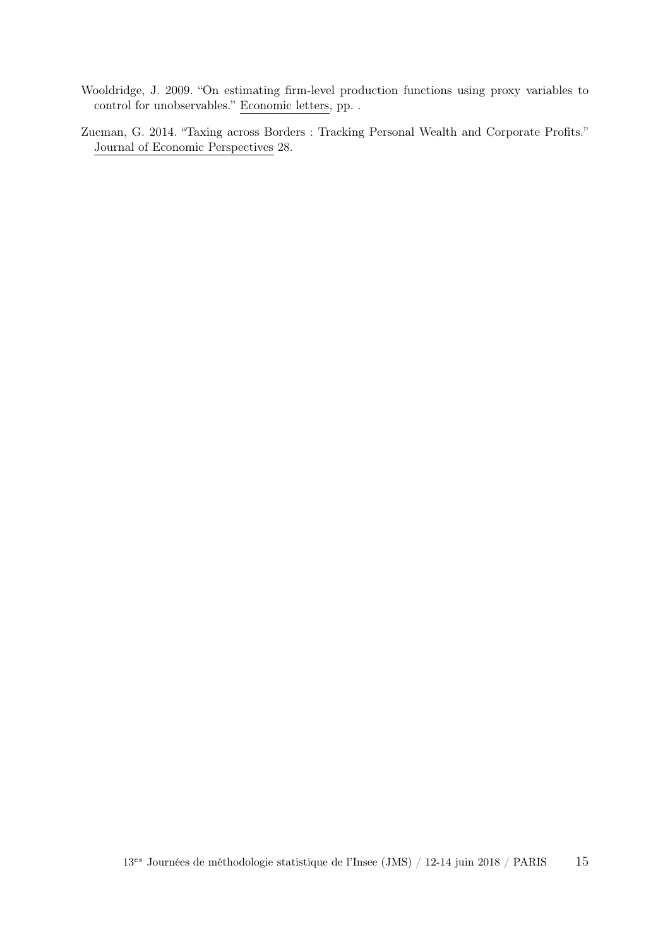- <span id="page-14-1"></span>Wooldridge, J. 2009. "On estimating firm-level production functions using proxy variables to control for unobservables." Economic letters, pp. .
- <span id="page-14-0"></span>Zucman, G. 2014. "Taxing across Borders : Tracking Personal Wealth and Corporate Profits." Journal of Economic Perspectives 28.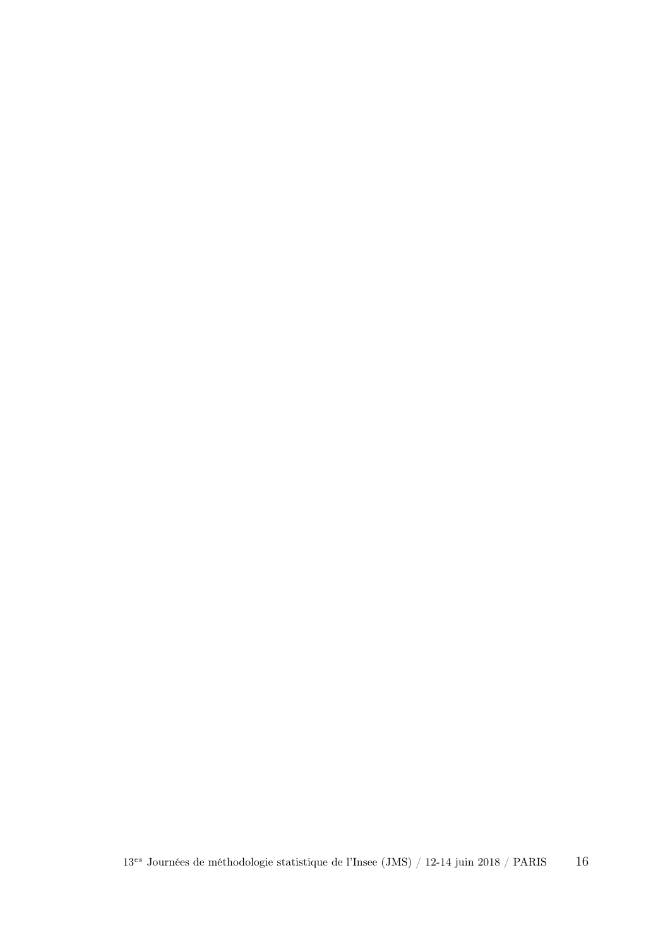$13^{es}$ Journées de méthodologie statistique de l'Insee (JMS) / 12-14 juin 2018 / PARIS  $\qquad \ \ 16$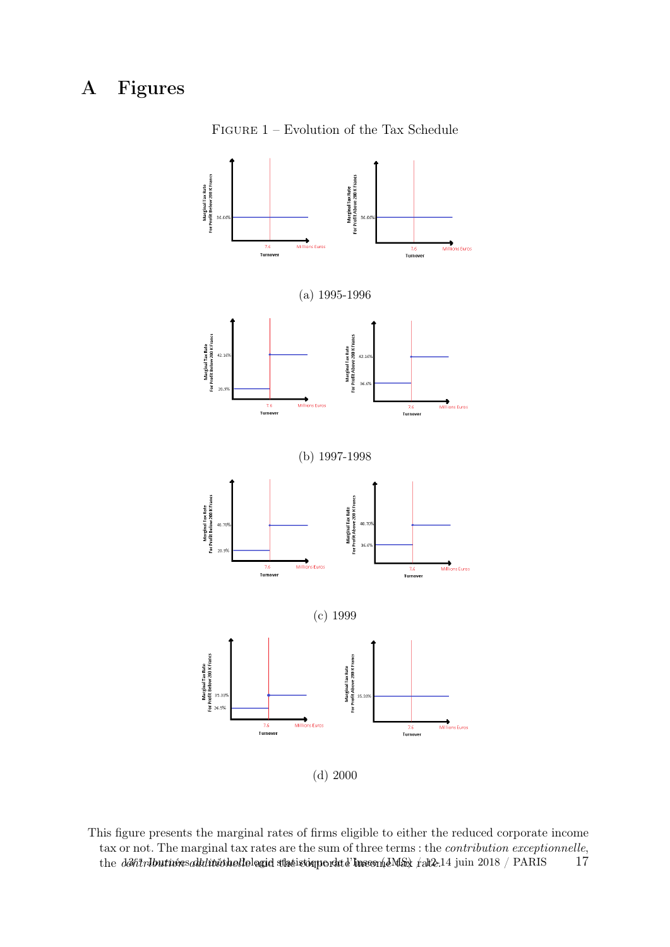# <span id="page-16-0"></span>A Figures





This figure presents the marginal rates of firms eligible to either the reduced corporate income tax or not. The marginal tax rates are the sum of three terms : the contribution exceptionnelle, the d $\partial \partial t$ rlbution addition addition addition addition per tax different de l'Inseen (JMS)  $\chi$  falls: 14 juin 2018 / PARIS 17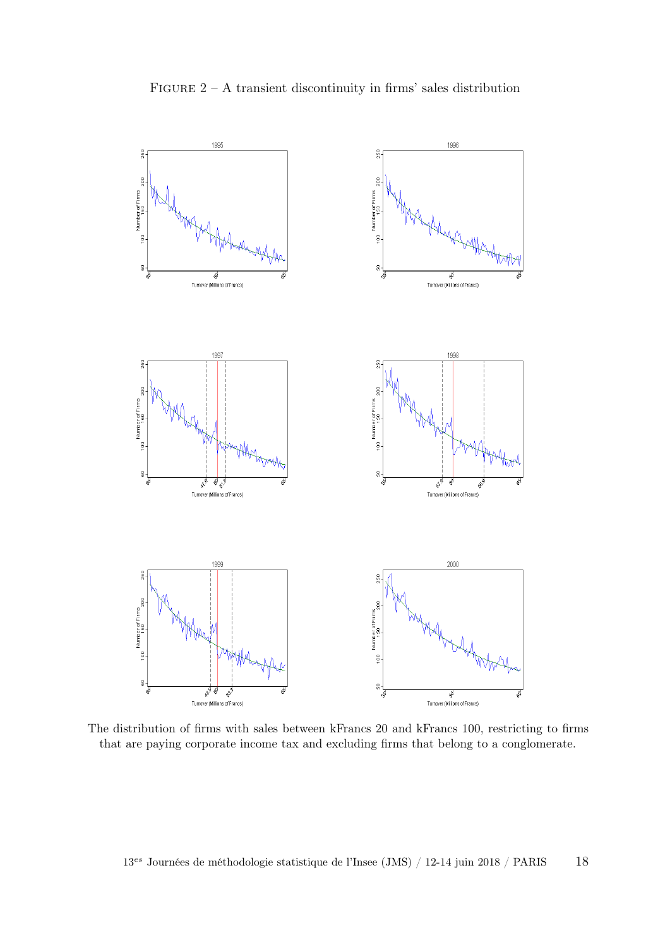<span id="page-17-0"></span>

FIGURE  $2$  –  $\cal{A}$  transient discontinuity in firms' sales distribution

The distribution of firms with sales between kFrancs 20 and kFrancs 100, restricting to firms that are paying corporate income tax and excluding firms that belong to a conglomerate.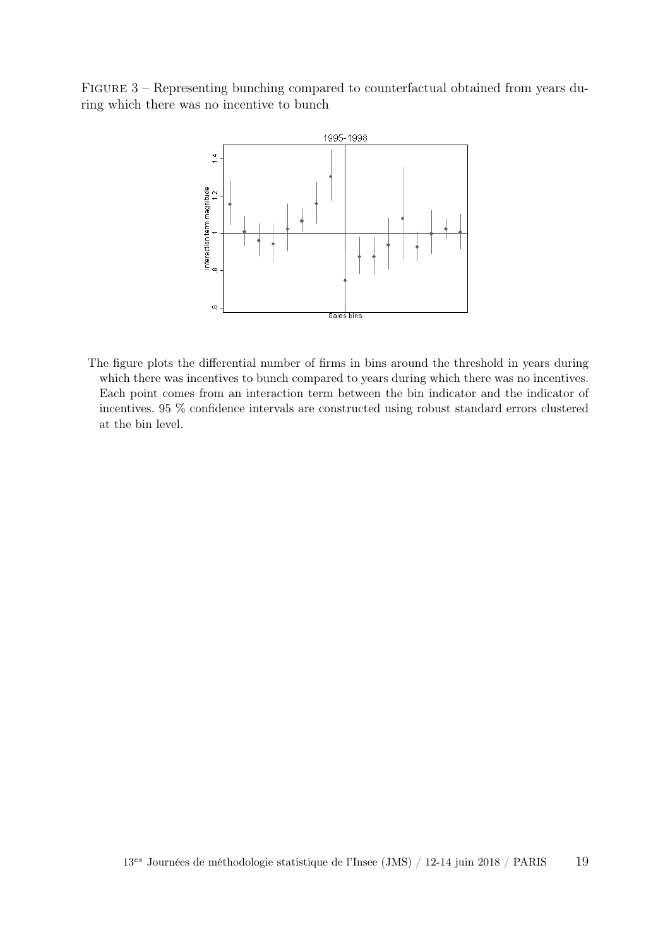<span id="page-18-0"></span>FIGURE 3 – Representing bunching compared to counterfactual obtained from years during which there was no incentive to bunch



The figure plots the differential number of firms in bins around the threshold in years during which there was incentives to bunch compared to years during which there was no incentives. Each point comes from an interaction term between the bin indicator and the indicator of incentives. 95 % confidence intervals are constructed using robust standard errors clustered at the bin level.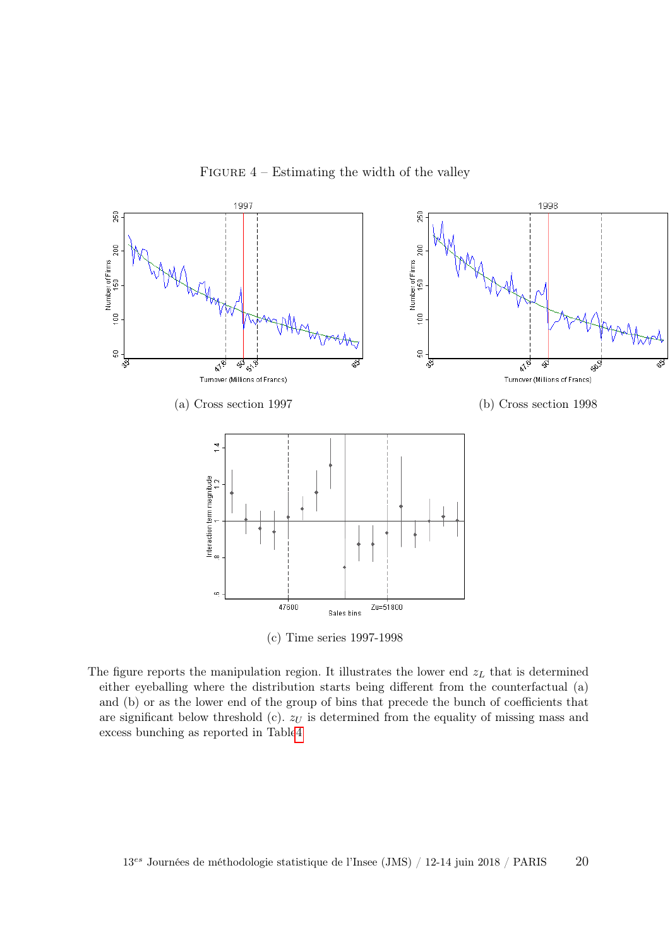<span id="page-19-0"></span>

FIGURE  $4$  – Estimating the width of the valley

(c) Time series 1997-1998

The figure reports the manipulation region. It illustrates the lower end  $z_L$  that is determined either eyeballing where the distribution starts being different from the counterfactual (a) and (b) or as the lower end of the group of bins that precede the bunch of coefficients that are significant below threshold (c).  $z_U$  is determined from the equality of missing mass and excess bunching as reported in Tabl[e4](#page-26-0)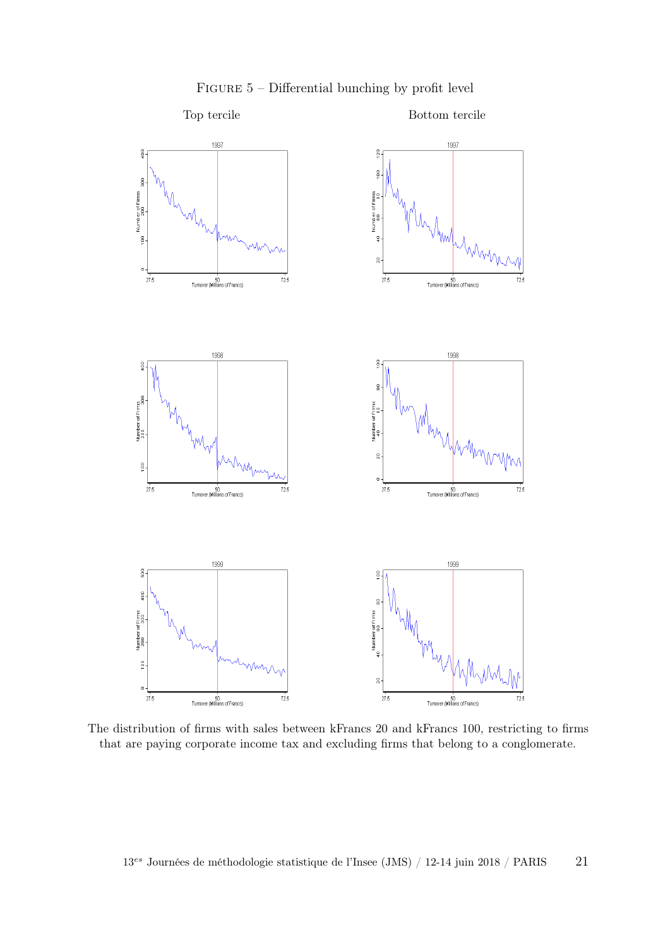<span id="page-20-0"></span>

FIGURE  $5$  – Differential bunching by profit level

The distribution of firms with sales between kFrancs 20 and kFrancs 100, restricting to firms that are paying corporate income tax and excluding firms that belong to a conglomerate.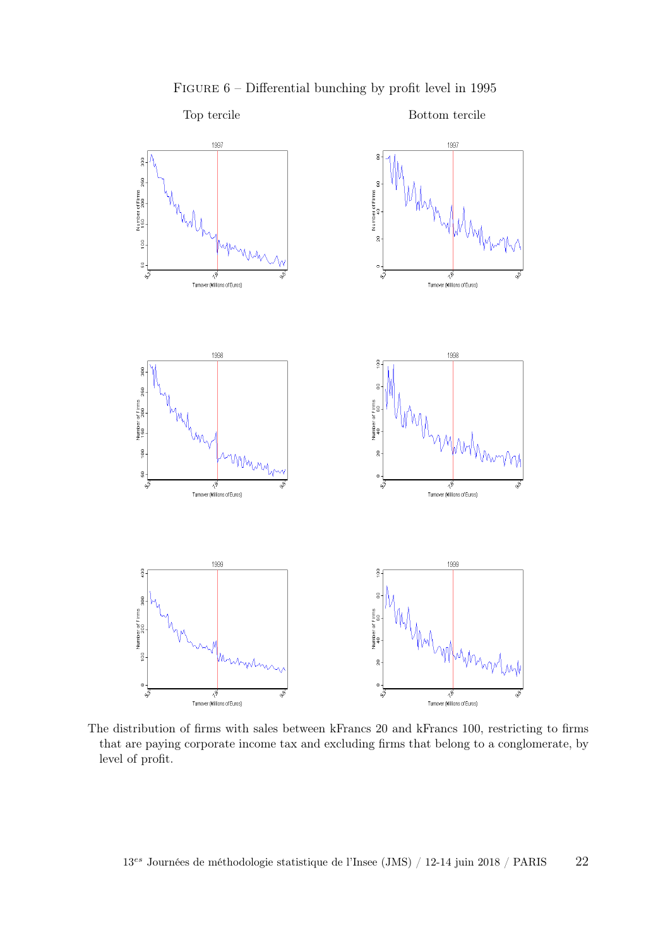<span id="page-21-0"></span>

FIGURE  $6$  – Differential bunching by profit level in 1995

The distribution of firms with sales between kFrancs 20 and kFrancs 100, restricting to firms that are paying corporate income tax and excluding firms that belong to a conglomerate, by level of profit.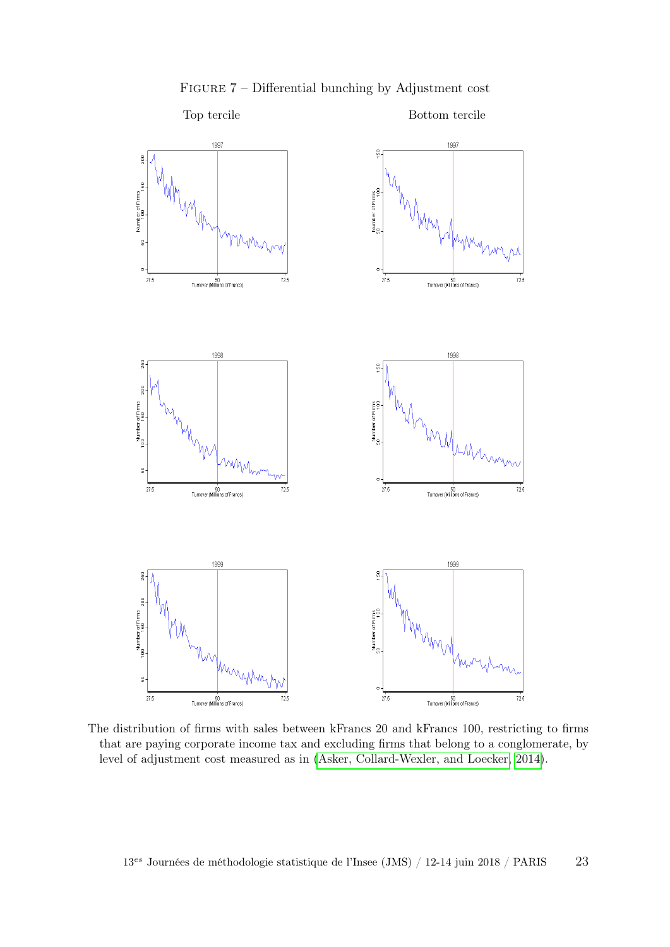<span id="page-22-0"></span>

#### Figure 7 – Differential bunching by Adjustment cost

The distribution of firms with sales between kFrancs 20 and kFrancs 100, restricting to firms that are paying corporate income tax and excluding firms that belong to a conglomerate, by level of adjustment cost measured as in [\(Asker, Collard-Wexler, and Loecker, 2014\)](#page-12-0).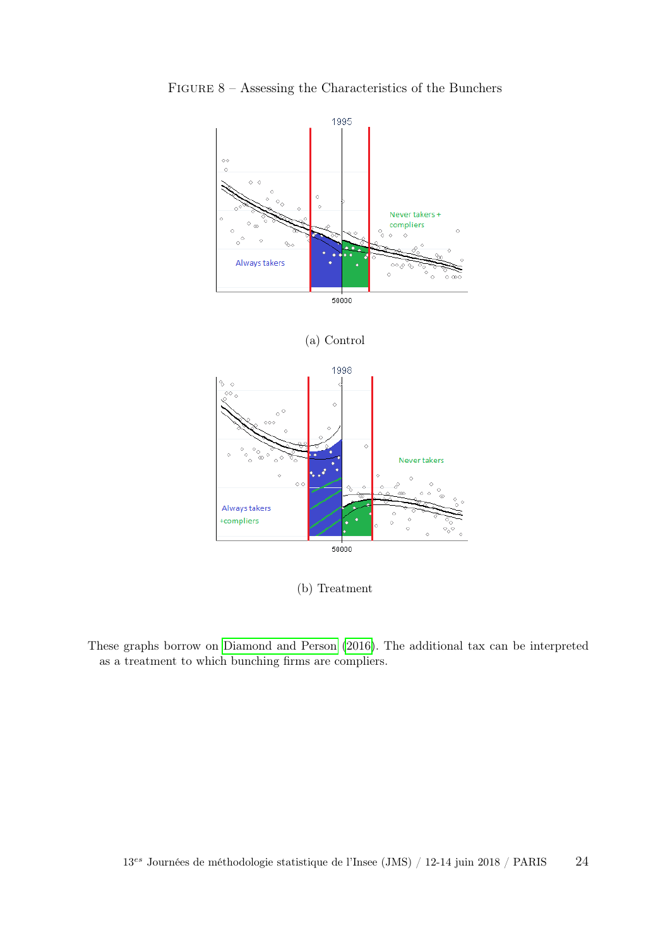

FIGURE 8 – Assessing the Characteristics of the Bunchers

(b) Treatment

These graphs borrow on [Diamond and Person](#page-13-2) [\(2016\)](#page-13-2). The additional tax can be interpreted as a treatment to which bunching firms are compliers.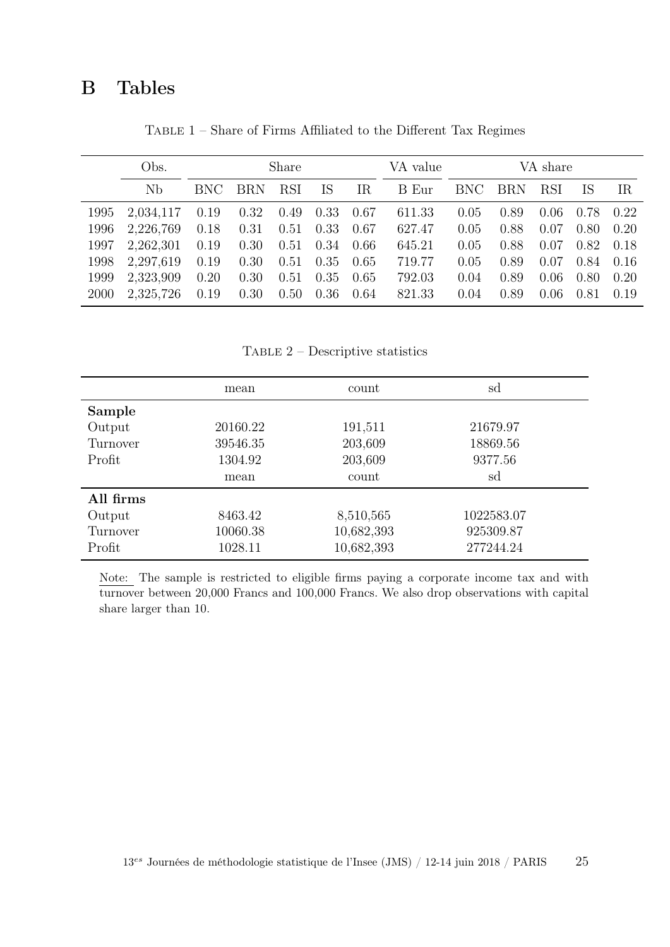# B Tables

Table 1 – Share of Firms Affiliated to the Different Tax Regimes

<span id="page-24-0"></span>

|      | Obs.      | Share |            |            |      | VA share<br>VA value |        |      |            |            |      |      |
|------|-----------|-------|------------|------------|------|----------------------|--------|------|------------|------------|------|------|
|      | Nb        | BNC.  | <b>BRN</b> | <b>RSI</b> | IS   | IR                   | B Eur  | BNC  | <b>BRN</b> | <b>RSI</b> | IS   | IR   |
| 1995 | 2,034,117 | 0.19  | 0.32       | 0.49       | 0.33 | 0.67                 | 611.33 | 0.05 | 0.89       | 0.06       | 0.78 | 0.22 |
| 1996 | 2,226,769 | 0.18  | 0.31       | 0.51       | 0.33 | 0.67                 | 627.47 | 0.05 | 0.88       | 0.07       | 0.80 | 0.20 |
| 1997 | 2,262,301 | 0.19  | 0.30       | 0.51       | 0.34 | 0.66                 | 645.21 | 0.05 | 0.88       | 0.07       | 0.82 | 0.18 |
| 1998 | 2,297,619 | 0.19  | 0.30       | 0.51       | 0.35 | 0.65                 | 719.77 | 0.05 | 0.89       | 0.07       | 0.84 | 0.16 |
| 1999 | 2,323,909 | 0.20  | 0.30       | 0.51       | 0.35 | 0.65                 | 792.03 | 0.04 | 0.89       | 0.06       | 0.80 | 0.20 |
| 2000 | 2,325,726 | 0.19  | 0.30       | 0.50       | 0.36 | 0.64                 | 821.33 | 0.04 | 0.89       | 0.06       | 0.81 | 0.19 |

Table 2 – Descriptive statistics

<span id="page-24-1"></span>

|           | mean     | count      | sd         |  |
|-----------|----------|------------|------------|--|
| Sample    |          |            |            |  |
| Output    | 20160.22 | 191,511    | 21679.97   |  |
| Turnover  | 39546.35 | 203,609    | 18869.56   |  |
| Profit    | 1304.92  | 203,609    | 9377.56    |  |
|           | mean     | count      | sd         |  |
| All firms |          |            |            |  |
| Output    | 8463.42  | 8,510,565  | 1022583.07 |  |
| Turnover  | 10060.38 | 10,682,393 | 925309.87  |  |
| Profit    | 1028.11  | 10,682,393 | 277244.24  |  |

Note: The sample is restricted to eligible firms paying a corporate income tax and with turnover between 20,000 Francs and 100,000 Francs. We also drop observations with capital share larger than 10.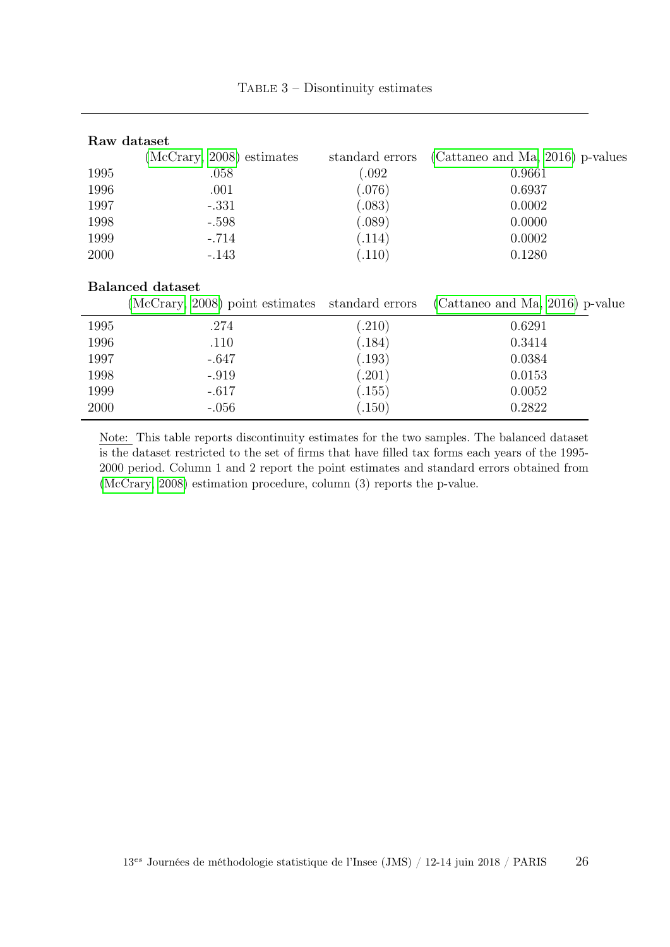| TABLE $3$ – Disontinuity estimates |  |
|------------------------------------|--|
|------------------------------------|--|

<span id="page-25-0"></span>

|      | Raw dataset                                                                |                 |                                  |
|------|----------------------------------------------------------------------------|-----------------|----------------------------------|
|      | $(McCary, 2008)$ estimates                                                 | standard errors | (Cattaneo and Ma, 2016) p-values |
| 1995 | .058                                                                       | (.092)          | 0.9661                           |
| 1996 | .001                                                                       | (.076)          | 0.6937                           |
| 1997 | $-.331$                                                                    | (.083)          | 0.0002                           |
| 1998 | $-.598$                                                                    | (.089)          | 0.0000                           |
| 1999 | $-.714$                                                                    | (0.114)         | 0.0002                           |
| 2000 | $-.143$                                                                    | (.110)          | 0.1280                           |
|      | <b>Balanced dataset</b><br>(McCrary, 2008) point estimates standard errors |                 | (Cattaneo and Ma, 2016) p-value  |
|      |                                                                            |                 |                                  |
| 1995 | .274                                                                       | .210)           | 0.6291                           |
| 1996 | .110                                                                       | .184)           | 0.3414                           |
| 1997 | $-.647$                                                                    | (0.193)         | 0.0384                           |
| 1998 | $-.919$                                                                    | .201)           | 0.0153                           |
| 1999 | $-.617$                                                                    | (.155)          | 0.0052                           |
| 2000 | $-.056$                                                                    | (.150)          | 0.2822                           |

Note: This table reports discontinuity estimates for the two samples. The balanced dataset is the dataset restricted to the set of firms that have filled tax forms each years of the 1995- 2000 period. Column 1 and 2 report the point estimates and standard errors obtained from [\(McCrary, 2008\)](#page-13-15) estimation procedure, column (3) reports the p-value.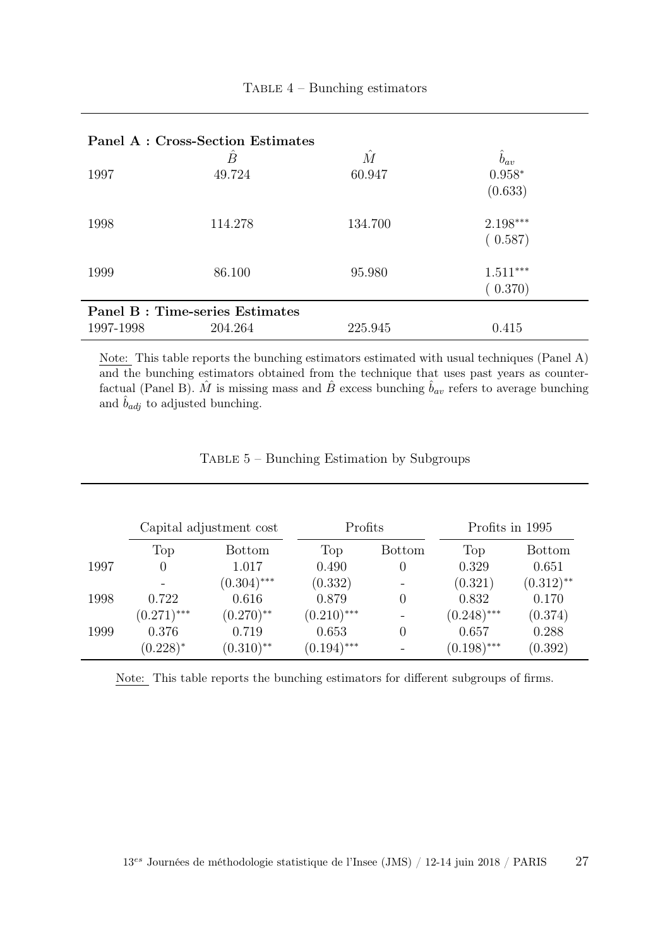<span id="page-26-0"></span>

| Panel A : Cross-Section Estimates           |                          |                     |                                       |  |  |  |  |  |  |
|---------------------------------------------|--------------------------|---------------------|---------------------------------------|--|--|--|--|--|--|
| 1997                                        | $\overline{B}$<br>49.724 | $\hat{M}$<br>60.947 | $\hat{b}_{av}$<br>$0.958*$<br>(0.633) |  |  |  |  |  |  |
| 1998                                        | 114.278                  | 134.700             | $2.198***$<br>(0.587)                 |  |  |  |  |  |  |
| 1999                                        | 86.100                   | 95.980              | $1.511***$<br>(0.370)                 |  |  |  |  |  |  |
| Panel B: Time-series Estimates<br>1997-1998 | 204.264                  | 225.945             | 0.415                                 |  |  |  |  |  |  |

Note: This table reports the bunching estimators estimated with usual techniques (Panel A) and the bunching estimators obtained from the technique that uses past years as counterfactual (Panel B).  $\hat{M}$  is missing mass and  $\hat{B}$  excess bunching  $\hat{b}_{av}$  refers to average bunching and  $\hat{b}_{adj}$  to adjusted bunching.

| TABLE $5$ – Bunching Estimation by Subgroups |  |  |  |
|----------------------------------------------|--|--|--|
|----------------------------------------------|--|--|--|

<span id="page-26-1"></span>

|      | Capital adjustment cost |               | Profits       |                  | Profits in 1995 |               |  |
|------|-------------------------|---------------|---------------|------------------|-----------------|---------------|--|
|      | Top                     | <b>Bottom</b> | Top           | <b>Bottom</b>    | Top             | <b>Bottom</b> |  |
| 1997 | $\left( \right)$        | 1.017         | 0.490         | $\theta$         | 0.329           | 0.651         |  |
|      |                         | $(0.304)$ *** | (0.332)       |                  | (0.321)         | $(0.312)$ **  |  |
| 1998 | 0.722                   | 0.616         | 0.879         | $\left( \right)$ | 0.832           | 0.170         |  |
|      | $(0.271)$ ***           | $(0.270)$ **  | $(0.210)$ *** |                  | $(0.248)$ ***   | (0.374)       |  |
| 1999 | 0.376                   | 0.719         | 0.653         | $\left( \right)$ | 0.657           | 0.288         |  |
|      | $(0.228)^*$             | $(0.310)$ **  | $(0.194)$ *** |                  | $(0.198)$ ***   | (0.392)       |  |

Note: This table reports the bunching estimators for different subgroups of firms.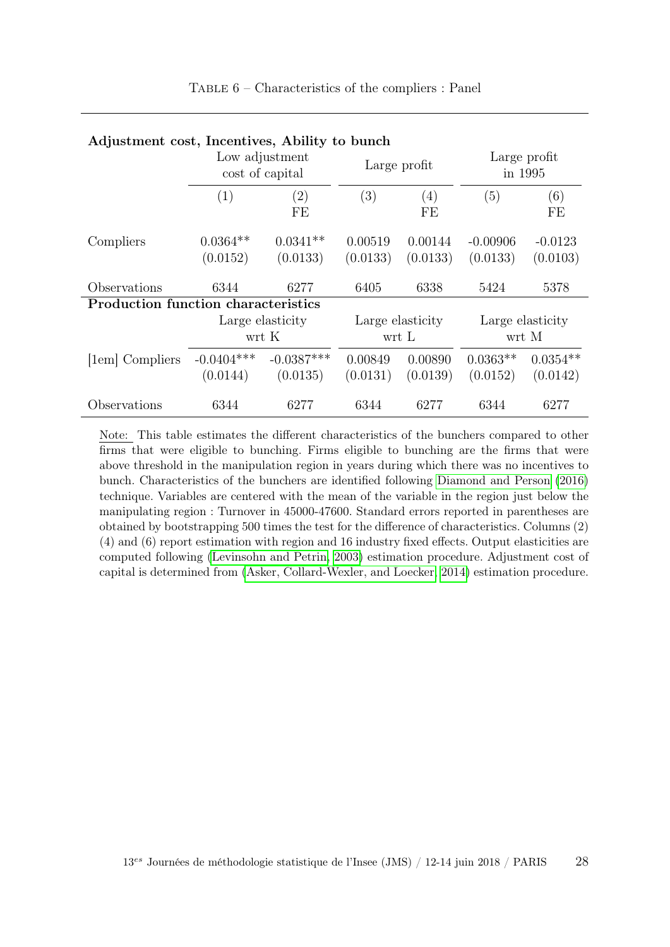| Adjustment cost, Incentives, Ability to bunch |                          |                                   |                     |                     |                         |                        |  |  |  |
|-----------------------------------------------|--------------------------|-----------------------------------|---------------------|---------------------|-------------------------|------------------------|--|--|--|
|                                               |                          | Low adjustment<br>cost of capital |                     | Large profit        | Large profit<br>in 1995 |                        |  |  |  |
|                                               | (1)                      | (2)<br>FE                         | (3)                 | (4)<br>FE           | (5)                     | (6)<br>FE              |  |  |  |
| Compliers                                     | $0.0364**$<br>(0.0152)   | $0.0341**$<br>(0.0133)            | 0.00519<br>(0.0133) | 0.00144<br>(0.0133) | $-0.00906$<br>(0.0133)  | $-0.0123$<br>(0.0103)  |  |  |  |
| Observations                                  | 6344                     | 6277                              | 6405                | 6338                | 5424                    | 5378                   |  |  |  |
| Production function characteristics           |                          |                                   |                     |                     |                         |                        |  |  |  |
|                                               |                          | Large elasticity                  |                     | Large elasticity    |                         | Large elasticity       |  |  |  |
|                                               |                          | wrt K                             |                     | wrt L               |                         | wrt M                  |  |  |  |
| [1em] Compliers                               | $-0.0404***$<br>(0.0144) | $-0.0387***$<br>(0.0135)          | 0.00849<br>(0.0131) | 0.00890<br>(0.0139) | $0.0363**$<br>(0.0152)  | $0.0354**$<br>(0.0142) |  |  |  |
| Observations                                  | 6344                     | 6277                              | 6344                | 6277                | 6344                    | 6277                   |  |  |  |

#### <span id="page-27-0"></span>Adjustment cost, Incentives, Ability to bunch

Note: This table estimates the different characteristics of the bunchers compared to other firms that were eligible to bunching. Firms eligible to bunching are the firms that were above threshold in the manipulation region in years during which there was no incentives to bunch. Characteristics of the bunchers are identified following [Diamond and Person](#page-13-2) [\(2016\)](#page-13-2) technique. Variables are centered with the mean of the variable in the region just below the manipulating region : Turnover in 45000-47600. Standard errors reported in parentheses are obtained by bootstrapping 500 times the test for the difference of characteristics. Columns (2) (4) and (6) report estimation with region and 16 industry fixed effects. Output elasticities are computed following [\(Levinsohn and Petrin, 2003\)](#page-13-13) estimation procedure. Adjustment cost of capital is determined from [\(Asker, Collard-Wexler, and Loecker, 2014\)](#page-12-0) estimation procedure.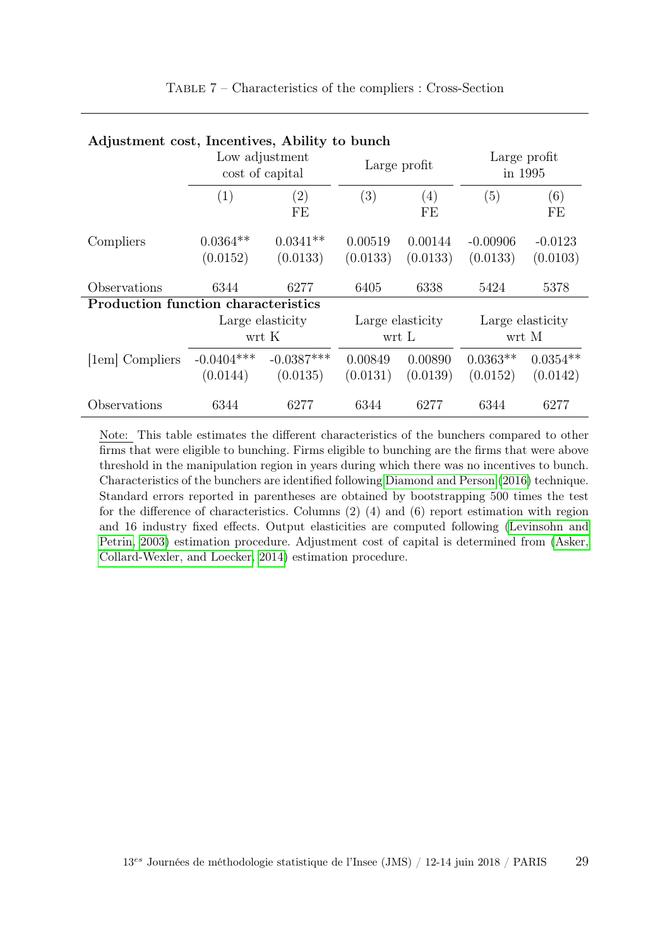<span id="page-28-0"></span>

| Adjustment cost, Incentives, Ability to bunch |                                   |                   |          |                  |                         |                  |  |  |  |
|-----------------------------------------------|-----------------------------------|-------------------|----------|------------------|-------------------------|------------------|--|--|--|
|                                               | Low adjustment<br>cost of capital |                   |          | Large profit     | Large profit<br>in 1995 |                  |  |  |  |
|                                               | (1)                               | $\left( 2\right)$ | (3)      | (4)              | (5)                     | (6)              |  |  |  |
|                                               |                                   | FE                |          | FE               |                         | FE               |  |  |  |
| Compliers                                     | $0.0364**$                        | $0.0341**$        | 0.00519  | 0.00144          | $-0.00906$              | $-0.0123$        |  |  |  |
|                                               | (0.0152)                          | (0.0133)          | (0.0133) | (0.0133)         | (0.0133)                | (0.0103)         |  |  |  |
| Observations                                  | 6344                              | 6277              | 6405     | 6338             | 5424                    | 5378             |  |  |  |
| Production function characteristics           |                                   |                   |          |                  |                         |                  |  |  |  |
|                                               | Large elasticity                  |                   |          | Large elasticity |                         | Large elasticity |  |  |  |
|                                               |                                   | wrt K             |          | wrt L            |                         | wrt M            |  |  |  |
| [1em] Compliers                               | $-0.0404***$                      | $-0.0387***$      | 0.00849  | 0.00890          | $0.0363**$              | $0.0354**$       |  |  |  |
|                                               | (0.0144)                          | (0.0135)          | (0.0131) | (0.0139)         | (0.0152)                | (0.0142)         |  |  |  |
| Observations                                  | 6344                              | 6277              | 6344     | 6277             | 6344                    | 6277             |  |  |  |

Note: This table estimates the different characteristics of the bunchers compared to other firms that were eligible to bunching. Firms eligible to bunching are the firms that were above threshold in the manipulation region in years during which there was no incentives to bunch. Characteristics of the bunchers are identified following [Diamond and Person](#page-13-2) [\(2016\)](#page-13-2) technique. Standard errors reported in parentheses are obtained by bootstrapping 500 times the test for the difference of characteristics. Columns (2) (4) and (6) report estimation with region and 16 industry fixed effects. Output elasticities are computed following [\(Levinsohn and](#page-13-13) [Petrin, 2003\)](#page-13-13) estimation procedure. Adjustment cost of capital is determined from [\(Asker,](#page-12-0) [Collard-Wexler, and Loecker, 2014\)](#page-12-0) estimation procedure.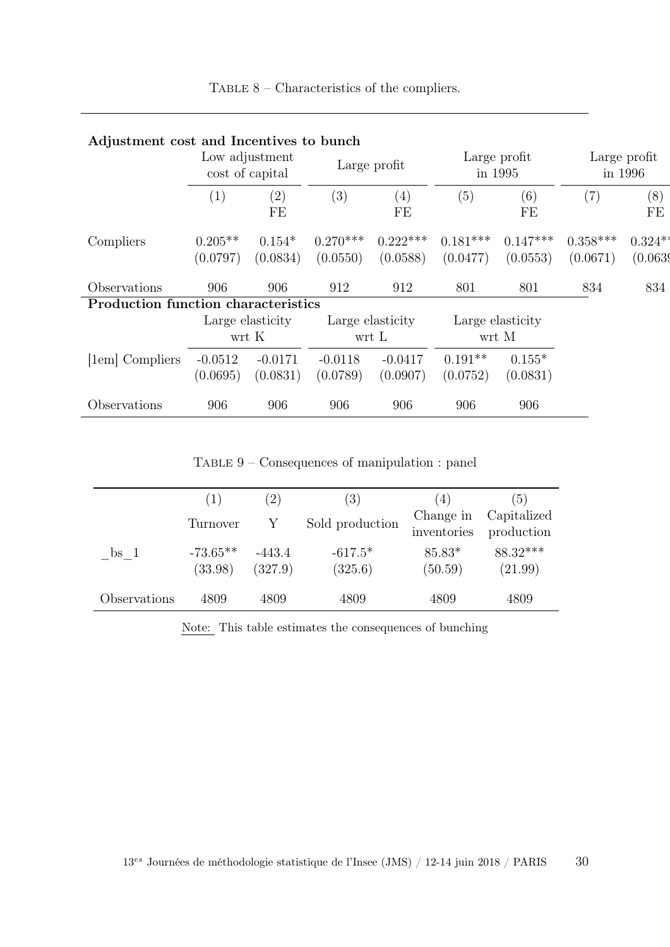| Adjustment cost and incentives to bunch |                                   |                           |                        |                           |                         |                           |                         |                       |
|-----------------------------------------|-----------------------------------|---------------------------|------------------------|---------------------------|-------------------------|---------------------------|-------------------------|-----------------------|
|                                         | Low adjustment<br>cost of capital |                           | Large profit           |                           | Large profit<br>in 1995 |                           | Large profit<br>in 1996 |                       |
|                                         | $\left( 1\right)$                 | $\left( 2\right)$<br>FE   | (3)                    | (4)<br>FE                 | (5)                     | (6)<br>FE                 | (7)                     | (8)<br>FE             |
| Compliers                               | $0.205**$<br>(0.0797)             | $0.154*$<br>(0.0834)      | $0.270***$<br>(0.0550) | $0.222***$<br>(0.0588)    | $0.181***$<br>(0.0477)  | $0.147***$<br>(0.0553)    | $0.358***$<br>(0.0671)  | $0.324**$<br>(0.0639) |
| Observations                            | 906                               | 906                       | 912                    | 912                       | 801                     | 801                       | 834                     | 834                   |
| Production function characteristics     |                                   |                           |                        |                           |                         |                           |                         |                       |
|                                         |                                   | Large elasticity<br>wrt K |                        | Large elasticity<br>wrt L |                         | Large elasticity<br>wrt M |                         |                       |
| [1em] Compliers                         | $-0.0512$<br>(0.0695)             | $-0.0171$<br>(0.0831)     | $-0.0118$<br>(0.0789)  | $-0.0417$<br>(0.0907)     | $0.191**$<br>(0.0752)   | $0.155*$<br>(0.0831)      |                         |                       |
| Observations                            | 906                               | 906                       | 906                    | 906                       | 906                     | 906                       |                         |                       |

#### Adjustment cost and Incentives to bunch

TABLE 9 – Consequences of manipulation : panel

<span id="page-29-0"></span>

|                 | (1)                   | (2)                 | (3)                  | (4)                      | (5)                       |
|-----------------|-----------------------|---------------------|----------------------|--------------------------|---------------------------|
|                 | Turnover              |                     | Sold production      | Change in<br>inventories | Capitalized<br>production |
| bs <sub>1</sub> | $-73.65**$<br>(33.98) | $-443.4$<br>(327.9) | $-617.5*$<br>(325.6) | $85.83*$<br>(50.59)      | 88.32***<br>(21.99)       |
| Observations    | 4809                  | 4809                | 4809                 | 4809                     | 4809                      |

Note: This table estimates the consequences of bunching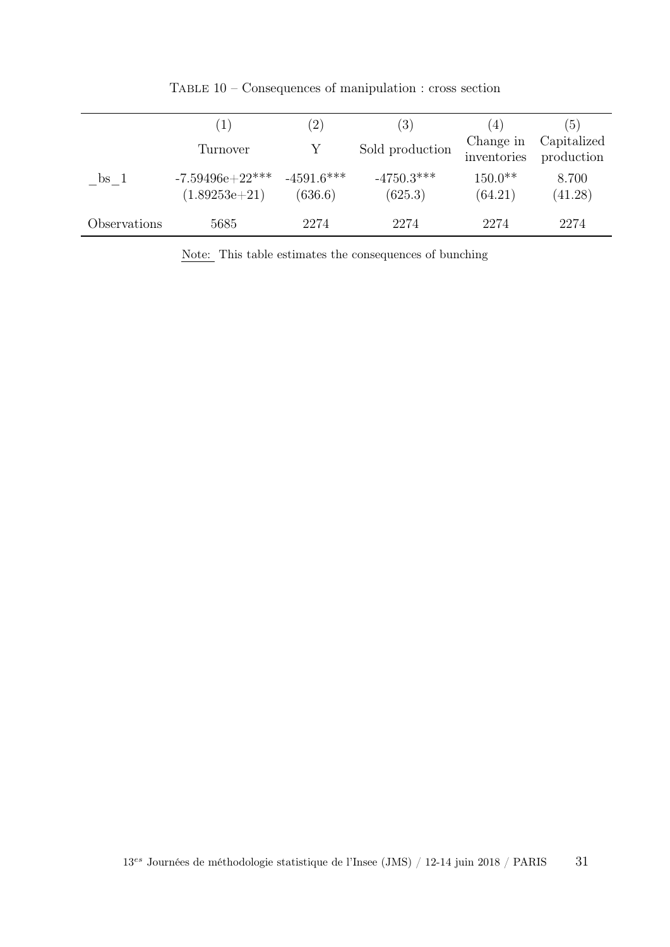<span id="page-30-0"></span>

|                 | $\left(1\right)$                     | (2)                     | (3)                     | $\overline{4}$           | $\left(5\right)$          |
|-----------------|--------------------------------------|-------------------------|-------------------------|--------------------------|---------------------------|
|                 | Turnover                             |                         | Sold production         | Change in<br>inventories | Capitalized<br>production |
| bs <sub>1</sub> | $-7.59496e+22***$<br>$(1.89253e+21)$ | $-4591.6***$<br>(636.6) | $-4750.3***$<br>(625.3) | $150.0**$<br>(64.21)     | 8.700<br>(41.28)          |
| Observations    | 5685                                 | 2274                    | 2274                    | 2274                     | 2274                      |

TABLE  $10$  – Consequences of manipulation : cross section

Note: This table estimates the consequences of bunching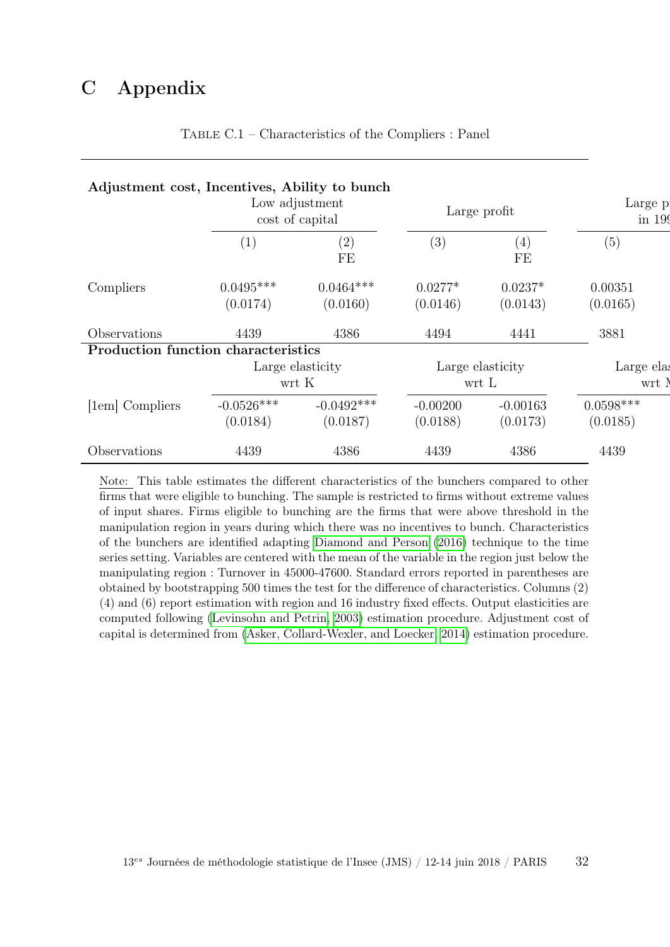## C Appendix

<span id="page-31-0"></span>

| Adjustment cost, Incentives, Ability to bunch |                                   |                         |                       |                       |                     |  |
|-----------------------------------------------|-----------------------------------|-------------------------|-----------------------|-----------------------|---------------------|--|
|                                               | Low adjustment<br>cost of capital |                         | Large profit          |                       | Large p<br>in 199   |  |
|                                               | (1)                               | $\left( 2\right)$<br>FE | (3)                   | (4)<br>FE             | (5)                 |  |
| Compliers                                     | $0.0495***$<br>(0.0174)           | $0.0464***$<br>(0.0160) | $0.0277*$<br>(0.0146) | $0.0237*$<br>(0.0143) | 0.00351<br>(0.0165) |  |
| Observations                                  | 4439                              | 4386                    | 4494                  | 4441                  | 3881                |  |
| Production function characteristics           |                                   |                         |                       |                       |                     |  |
|                                               | Large elasticity                  |                         | Large elasticity      |                       | Large elas          |  |
|                                               | wrt K                             |                         | wrt L                 |                       | wrt N               |  |
| [1em] Compliers                               | $-0.0526***$                      | $-0.0492***$            | $-0.00200$            | $-0.00163$            | $0.0598***$         |  |
|                                               | (0.0184)                          | (0.0187)                | (0.0188)              | (0.0173)              | (0.0185)            |  |
| Observations                                  | 4439                              | 4386                    | 4439                  | 4386                  | 4439                |  |

#### Table C.1 – Characteristics of the Compliers : Panel

Note: This table estimates the different characteristics of the bunchers compared to other firms that were eligible to bunching. The sample is restricted to firms without extreme values of input shares. Firms eligible to bunching are the firms that were above threshold in the manipulation region in years during which there was no incentives to bunch. Characteristics of the bunchers are identified adapting [Diamond and Person](#page-13-2) [\(2016\)](#page-13-2) technique to the time series setting. Variables are centered with the mean of the variable in the region just below the manipulating region : Turnover in 45000-47600. Standard errors reported in parentheses are obtained by bootstrapping 500 times the test for the difference of characteristics. Columns (2) (4) and (6) report estimation with region and 16 industry fixed effects. Output elasticities are computed following [\(Levinsohn and Petrin, 2003\)](#page-13-13) estimation procedure. Adjustment cost of capital is determined from [\(Asker, Collard-Wexler, and Loecker, 2014\)](#page-12-0) estimation procedure.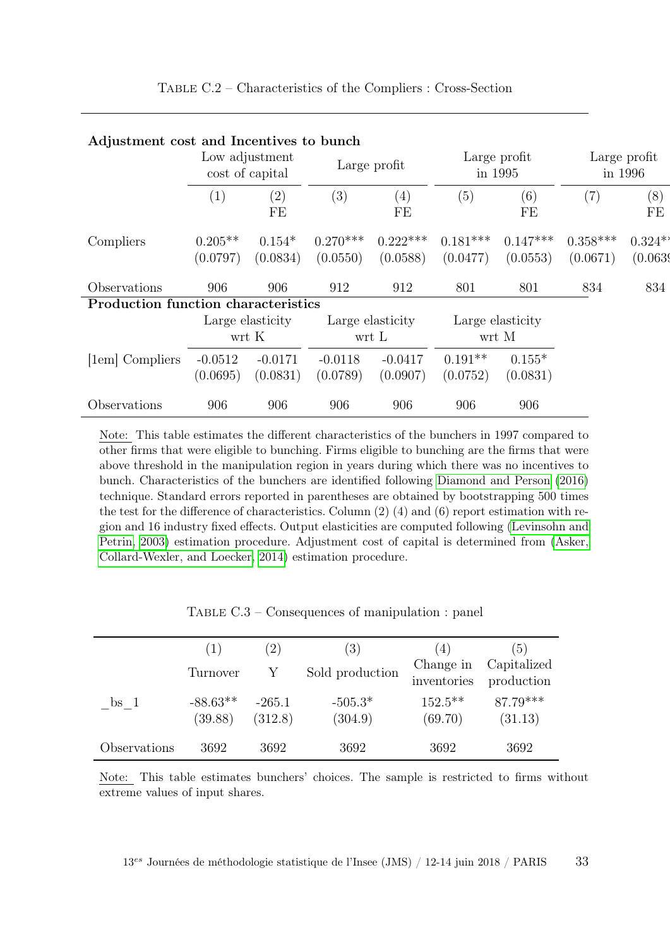| Adjustment cost and Incentives to bunch |                                   |                         |                        |                                      |                         |                        |                         |                       |
|-----------------------------------------|-----------------------------------|-------------------------|------------------------|--------------------------------------|-------------------------|------------------------|-------------------------|-----------------------|
|                                         | Low adjustment<br>cost of capital |                         | Large profit           |                                      | Large profit<br>in 1995 |                        | Large profit<br>in 1996 |                       |
|                                         | (1)                               | $\left( 2\right)$<br>FE | (3)                    | (4)<br>FE                            | (5)                     | (6)<br>FE              | (7)                     | (8)<br>FE             |
| Compliers                               | $0.205**$<br>(0.0797)             | $0.154*$<br>(0.0834)    | $0.270***$<br>(0.0550) | $0.222***$<br>(0.0588)               | $0.181***$<br>(0.0477)  | $0.147***$<br>(0.0553) | $0.358***$<br>(0.0671)  | $0.324**$<br>(0.0639) |
| Observations                            | 906                               | 906                     | 912                    | 912                                  | 801                     | 801                    | 834                     | 834                   |
| Production function characteristics     |                                   |                         |                        |                                      |                         |                        |                         |                       |
|                                         | Large elasticity                  |                         |                        | Large elasticity<br>Large elasticity |                         |                        |                         |                       |
|                                         | wrt K                             |                         | wrt L                  |                                      | wrt M                   |                        |                         |                       |
| [1em] Compliers                         | $-0.0512$<br>(0.0695)             | $-0.0171$<br>(0.0831)   | $-0.0118$<br>(0.0789)  | $-0.0417$<br>(0.0907)                | $0.191**$<br>(0.0752)   | $0.155*$<br>(0.0831)   |                         |                       |
| Observations                            | 906                               | 906                     | 906                    | 906                                  | 906                     | 906                    |                         |                       |

#### <span id="page-32-0"></span>Adjustment cost and Incentives to bunch

Note: This table estimates the different characteristics of the bunchers in 1997 compared to other firms that were eligible to bunching. Firms eligible to bunching are the firms that were above threshold in the manipulation region in years during which there was no incentives to bunch. Characteristics of the bunchers are identified following [Diamond and Person](#page-13-2) [\(2016\)](#page-13-2) technique. Standard errors reported in parentheses are obtained by bootstrapping 500 times the test for the difference of characteristics. Column  $(2)$  (4) and (6) report estimation with region and 16 industry fixed effects. Output elasticities are computed following [\(Levinsohn and](#page-13-13) [Petrin, 2003\)](#page-13-13) estimation procedure. Adjustment cost of capital is determined from [\(Asker,](#page-12-0) [Collard-Wexler, and Loecker, 2014\)](#page-12-0) estimation procedure.

<span id="page-32-1"></span>

|                 | (1)                   | (2)                 | (3)                  | 4                        | $\left(5\right)$          |
|-----------------|-----------------------|---------------------|----------------------|--------------------------|---------------------------|
|                 | Turnover              |                     | Sold production      | Change in<br>inventories | Capitalized<br>production |
| bs <sub>1</sub> | $-88.63**$<br>(39.88) | $-265.1$<br>(312.8) | $-505.3*$<br>(304.9) | $152.5***$<br>(69.70)    | 87.79***<br>(31.13)       |
| Observations    | 3692                  | 3692                | 3692                 | 3692                     | 3692                      |

Table C.3 – Consequences of manipulation : panel

Note: This table estimates bunchers' choices. The sample is restricted to firms without extreme values of input shares.